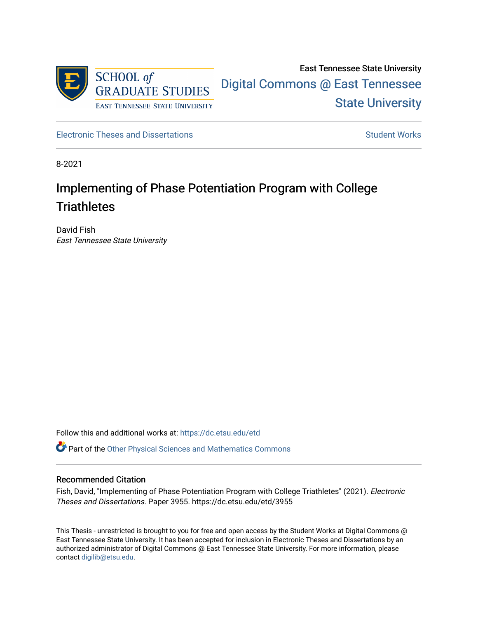

East Tennessee State University [Digital Commons @ East Tennessee](https://dc.etsu.edu/)  [State University](https://dc.etsu.edu/) 

[Electronic Theses and Dissertations](https://dc.etsu.edu/etd) [Student Works](https://dc.etsu.edu/student-works) Student Works

8-2021

# Implementing of Phase Potentiation Program with College **Triathletes**

David Fish East Tennessee State University

Follow this and additional works at: [https://dc.etsu.edu/etd](https://dc.etsu.edu/etd?utm_source=dc.etsu.edu%2Fetd%2F3955&utm_medium=PDF&utm_campaign=PDFCoverPages)

**P** Part of the Other Physical Sciences and Mathematics Commons

### Recommended Citation

Fish, David, "Implementing of Phase Potentiation Program with College Triathletes" (2021). Electronic Theses and Dissertations. Paper 3955. https://dc.etsu.edu/etd/3955

This Thesis - unrestricted is brought to you for free and open access by the Student Works at Digital Commons @ East Tennessee State University. It has been accepted for inclusion in Electronic Theses and Dissertations by an authorized administrator of Digital Commons @ East Tennessee State University. For more information, please contact [digilib@etsu.edu](mailto:digilib@etsu.edu).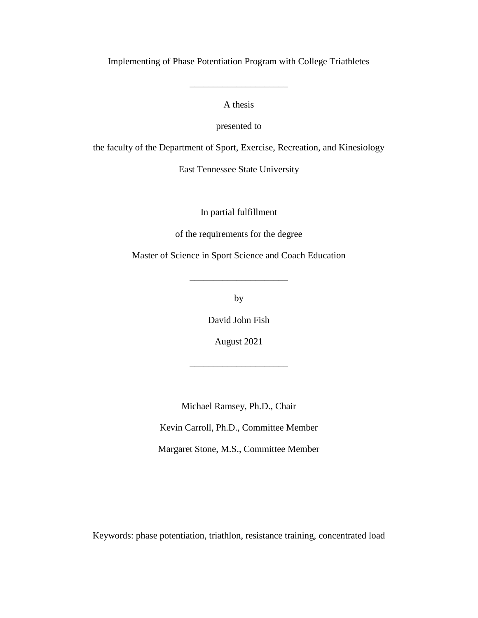Implementing of Phase Potentiation Program with College Triathletes

A thesis

\_\_\_\_\_\_\_\_\_\_\_\_\_\_\_\_\_\_\_\_\_

presented to

the faculty of the Department of Sport, Exercise, Recreation, and Kinesiology

East Tennessee State University

In partial fulfillment

of the requirements for the degree

Master of Science in Sport Science and Coach Education

\_\_\_\_\_\_\_\_\_\_\_\_\_\_\_\_\_\_\_\_\_

by

David John Fish

August 2021

\_\_\_\_\_\_\_\_\_\_\_\_\_\_\_\_\_\_\_\_\_

Michael Ramsey, Ph.D., Chair

Kevin Carroll, Ph.D., Committee Member

Margaret Stone, M.S., Committee Member

Keywords: phase potentiation, triathlon, resistance training, concentrated load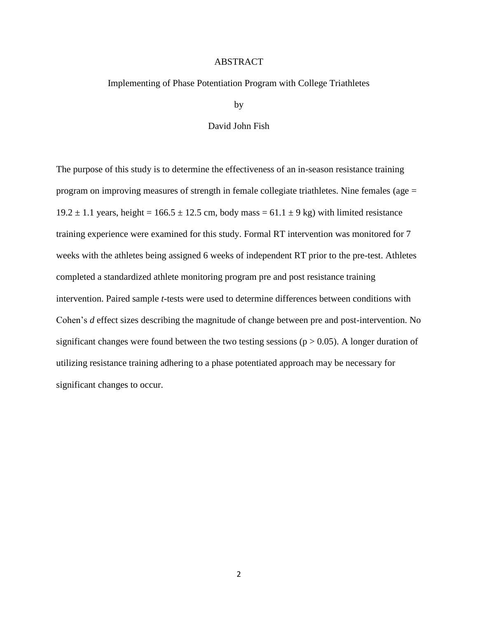### ABSTRACT

### <span id="page-2-0"></span>Implementing of Phase Potentiation Program with College Triathletes

by

### David John Fish

The purpose of this study is to determine the effectiveness of an in-season resistance training program on improving measures of strength in female collegiate triathletes. Nine females (age = 19.2  $\pm$  1.1 years, height = 166.5  $\pm$  12.5 cm, body mass = 61.1  $\pm$  9 kg) with limited resistance training experience were examined for this study. Formal RT intervention was monitored for 7 weeks with the athletes being assigned 6 weeks of independent RT prior to the pre-test. Athletes completed a standardized athlete monitoring program pre and post resistance training intervention. Paired sample *t*-tests were used to determine differences between conditions with Cohen's *d* effect sizes describing the magnitude of change between pre and post-intervention. No significant changes were found between the two testing sessions ( $p > 0.05$ ). A longer duration of utilizing resistance training adhering to a phase potentiated approach may be necessary for significant changes to occur.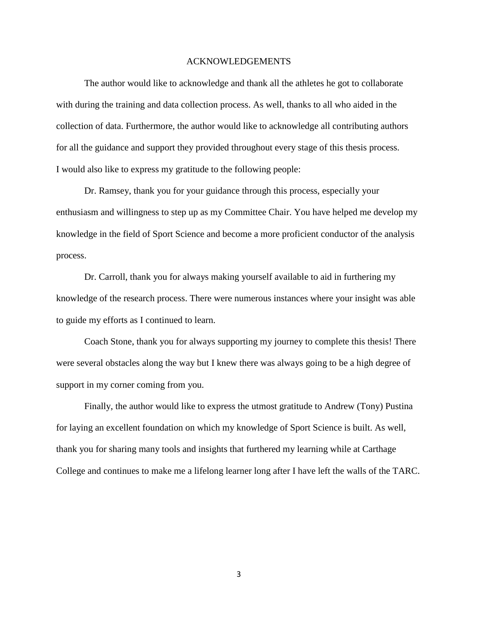#### ACKNOWLEDGEMENTS

<span id="page-3-0"></span>The author would like to acknowledge and thank all the athletes he got to collaborate with during the training and data collection process. As well, thanks to all who aided in the collection of data. Furthermore, the author would like to acknowledge all contributing authors for all the guidance and support they provided throughout every stage of this thesis process. I would also like to express my gratitude to the following people:

Dr. Ramsey, thank you for your guidance through this process, especially your enthusiasm and willingness to step up as my Committee Chair. You have helped me develop my knowledge in the field of Sport Science and become a more proficient conductor of the analysis process.

Dr. Carroll, thank you for always making yourself available to aid in furthering my knowledge of the research process. There were numerous instances where your insight was able to guide my efforts as I continued to learn.

Coach Stone, thank you for always supporting my journey to complete this thesis! There were several obstacles along the way but I knew there was always going to be a high degree of support in my corner coming from you.

Finally, the author would like to express the utmost gratitude to Andrew (Tony) Pustina for laying an excellent foundation on which my knowledge of Sport Science is built. As well, thank you for sharing many tools and insights that furthered my learning while at Carthage College and continues to make me a lifelong learner long after I have left the walls of the TARC.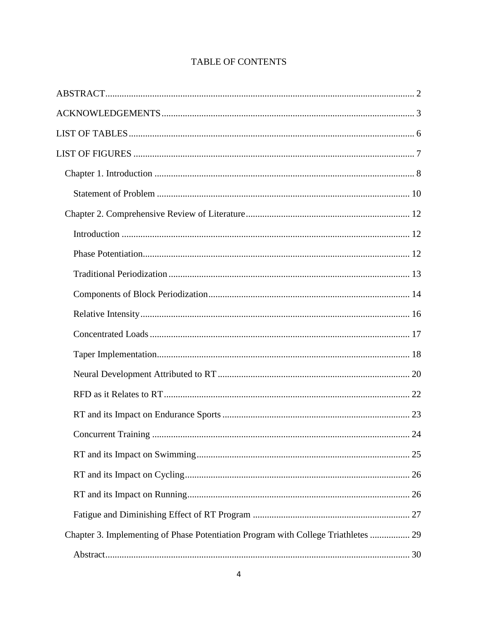| <b>Concurrent Training</b>                                                         | 24 |
|------------------------------------------------------------------------------------|----|
|                                                                                    |    |
|                                                                                    |    |
|                                                                                    |    |
|                                                                                    |    |
| Chapter 3. Implementing of Phase Potentiation Program with College Triathletes  29 |    |
|                                                                                    |    |

# TABLE OF CONTENTS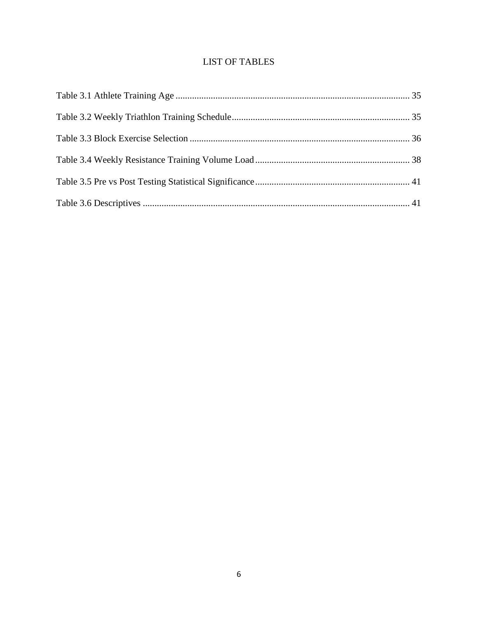# **LIST OF TABLES**

<span id="page-6-0"></span>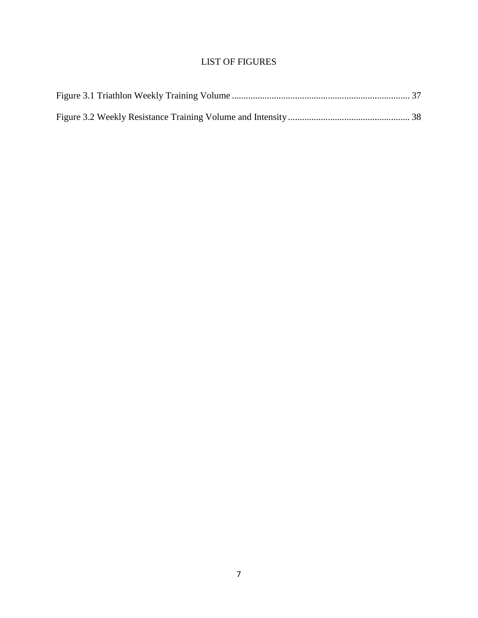# LIST OF FIGURES

<span id="page-7-0"></span>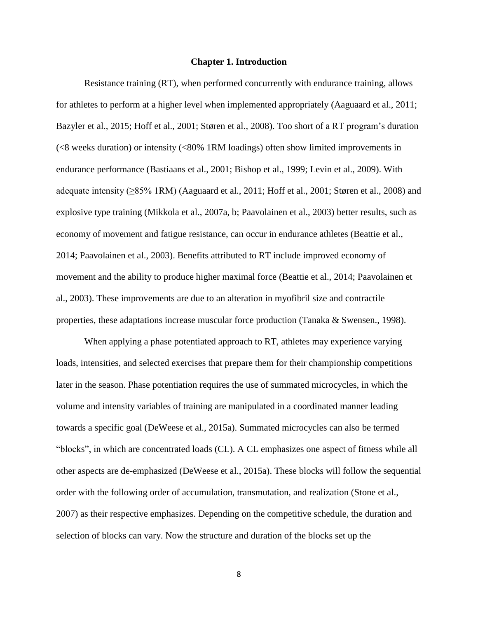#### **Chapter 1. Introduction**

<span id="page-8-0"></span>Resistance training (RT), when performed concurrently with endurance training, allows for athletes to perform at a higher level when implemented appropriately (Aaguaard et al., 2011; Bazyler et al., 2015; Hoff et al., 2001; Støren et al., 2008). Too short of a RT program's duration (<8 weeks duration) or intensity (<80% 1RM loadings) often show limited improvements in endurance performance (Bastiaans et al., 2001; Bishop et al., 1999; Levin et al., 2009). With adequate intensity (≥85% 1RM) (Aaguaard et al., 2011; Hoff et al., 2001; Støren et al., 2008) and explosive type training (Mikkola et al., 2007a, b; Paavolainen et al., 2003) better results, such as economy of movement and fatigue resistance, can occur in endurance athletes (Beattie et al., 2014; Paavolainen et al., 2003). Benefits attributed to RT include improved economy of movement and the ability to produce higher maximal force (Beattie et al., 2014; Paavolainen et al., 2003). These improvements are due to an alteration in myofibril size and contractile properties, these adaptations increase muscular force production (Tanaka & Swensen., 1998).

When applying a phase potentiated approach to RT, athletes may experience varying loads, intensities, and selected exercises that prepare them for their championship competitions later in the season. Phase potentiation requires the use of summated microcycles, in which the volume and intensity variables of training are manipulated in a coordinated manner leading towards a specific goal (DeWeese et al., 2015a). Summated microcycles can also be termed "blocks", in which are concentrated loads (CL). A CL emphasizes one aspect of fitness while all other aspects are de-emphasized (DeWeese et al., 2015a). These blocks will follow the sequential order with the following order of accumulation, transmutation, and realization (Stone et al., 2007) as their respective emphasizes. Depending on the competitive schedule, the duration and selection of blocks can vary. Now the structure and duration of the blocks set up the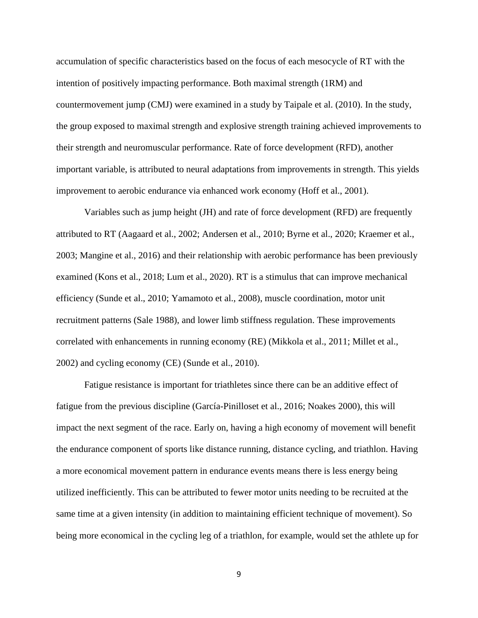accumulation of specific characteristics based on the focus of each mesocycle of RT with the intention of positively impacting performance. Both maximal strength (1RM) and countermovement jump (CMJ) were examined in a study by Taipale et al. (2010). In the study, the group exposed to maximal strength and explosive strength training achieved improvements to their strength and neuromuscular performance. Rate of force development (RFD), another important variable, is attributed to neural adaptations from improvements in strength. This yields improvement to aerobic endurance via enhanced work economy (Hoff et al., 2001).

Variables such as jump height (JH) and rate of force development (RFD) are frequently attributed to RT (Aagaard et al., 2002; Andersen et al., 2010; Byrne et al., 2020; Kraemer et al., 2003; Mangine et al., 2016) and their relationship with aerobic performance has been previously examined (Kons et al., 2018; Lum et al., 2020). RT is a stimulus that can improve mechanical efficiency (Sunde et al., 2010; Yamamoto et al., 2008), muscle coordination, motor unit recruitment patterns (Sale 1988), and lower limb stiffness regulation. These improvements correlated with enhancements in running economy (RE) (Mikkola et al., 2011; Millet et al., 2002) and cycling economy (CE) (Sunde et al., 2010).

Fatigue resistance is important for triathletes since there can be an additive effect of fatigue from the previous discipline (García-Pinilloset et al., 2016; Noakes 2000), this will impact the next segment of the race. Early on, having a high economy of movement will benefit the endurance component of sports like distance running, distance cycling, and triathlon. Having a more economical movement pattern in endurance events means there is less energy being utilized inefficiently. This can be attributed to fewer motor units needing to be recruited at the same time at a given intensity (in addition to maintaining efficient technique of movement). So being more economical in the cycling leg of a triathlon, for example, would set the athlete up for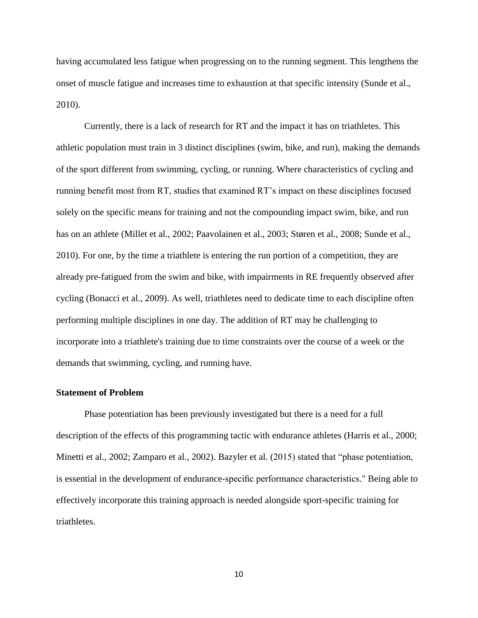having accumulated less fatigue when progressing on to the running segment. This lengthens the onset of muscle fatigue and increases time to exhaustion at that specific intensity (Sunde et al., 2010).

Currently, there is a lack of research for RT and the impact it has on triathletes. This athletic population must train in 3 distinct disciplines (swim, bike, and run), making the demands of the sport different from swimming, cycling, or running. Where characteristics of cycling and running benefit most from RT, studies that examined RT's impact on these disciplines focused solely on the specific means for training and not the compounding impact swim, bike, and run has on an athlete (Millet et al., 2002; Paavolainen et al., 2003; Støren et al., 2008; Sunde et al., 2010). For one, by the time a triathlete is entering the run portion of a competition, they are already pre-fatigued from the swim and bike, with impairments in RE frequently observed after cycling (Bonacci et al., 2009). As well, triathletes need to dedicate time to each discipline often performing multiple disciplines in one day. The addition of RT may be challenging to incorporate into a triathlete's training due to time constraints over the course of a week or the demands that swimming, cycling, and running have.

#### <span id="page-10-0"></span>**Statement of Problem**

Phase potentiation has been previously investigated but there is a need for a full description of the effects of this programming tactic with endurance athletes (Harris et al., 2000; Minetti et al., 2002; Zamparo et al., 2002). Bazyler et al. (2015) stated that "phase potentiation, is essential in the development of endurance-specific performance characteristics." Being able to effectively incorporate this training approach is needed alongside sport-specific training for triathletes.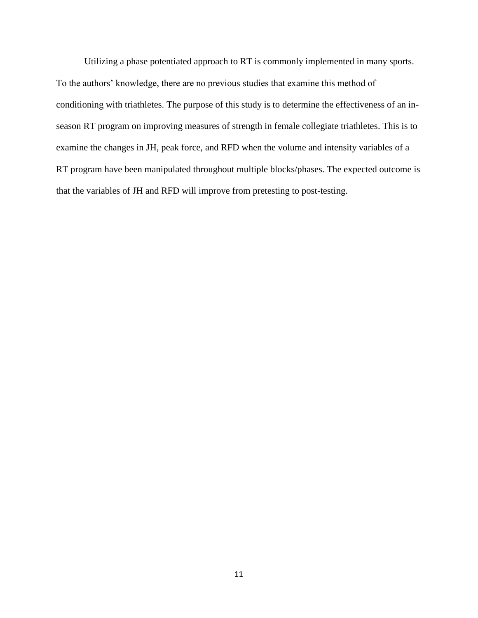Utilizing a phase potentiated approach to RT is commonly implemented in many sports. To the authors' knowledge, there are no previous studies that examine this method of conditioning with triathletes. The purpose of this study is to determine the effectiveness of an inseason RT program on improving measures of strength in female collegiate triathletes. This is to examine the changes in JH, peak force, and RFD when the volume and intensity variables of a RT program have been manipulated throughout multiple blocks/phases. The expected outcome is that the variables of JH and RFD will improve from pretesting to post-testing.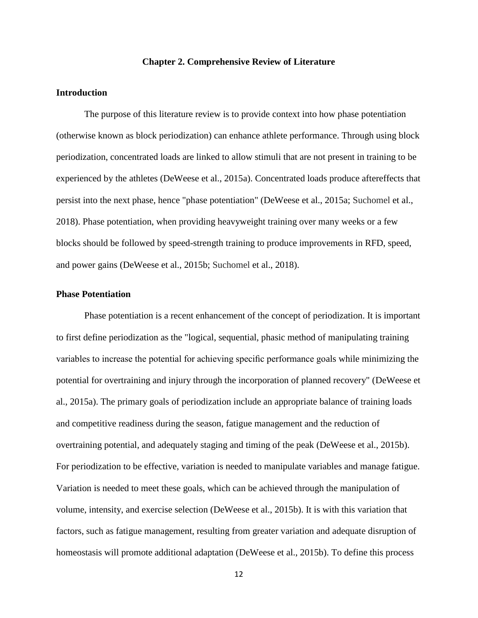#### **Chapter 2. Comprehensive Review of Literature**

#### <span id="page-12-1"></span><span id="page-12-0"></span>**Introduction**

The purpose of this literature review is to provide context into how phase potentiation (otherwise known as block periodization) can enhance athlete performance. Through using block periodization, concentrated loads are linked to allow stimuli that are not present in training to be experienced by the athletes (DeWeese et al., 2015a). Concentrated loads produce aftereffects that persist into the next phase, hence "phase potentiation" (DeWeese et al., 2015a; Suchomel et al., 2018). Phase potentiation, when providing heavyweight training over many weeks or a few blocks should be followed by speed-strength training to produce improvements in RFD, speed, and power gains (DeWeese et al., 2015b; Suchomel et al., 2018).

#### <span id="page-12-2"></span>**Phase Potentiation**

Phase potentiation is a recent enhancement of the concept of periodization. It is important to first define periodization as the "logical, sequential, phasic method of manipulating training variables to increase the potential for achieving specific performance goals while minimizing the potential for overtraining and injury through the incorporation of planned recovery" (DeWeese et al., 2015a). The primary goals of periodization include an appropriate balance of training loads and competitive readiness during the season, fatigue management and the reduction of overtraining potential, and adequately staging and timing of the peak (DeWeese et al., 2015b). For periodization to be effective, variation is needed to manipulate variables and manage fatigue. Variation is needed to meet these goals, which can be achieved through the manipulation of volume, intensity, and exercise selection (DeWeese et al., 2015b). It is with this variation that factors, such as fatigue management, resulting from greater variation and adequate disruption of homeostasis will promote additional adaptation (DeWeese et al., 2015b). To define this process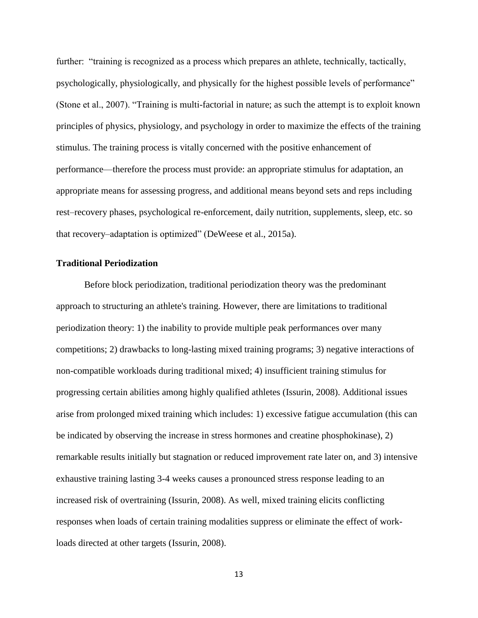further: "training is recognized as a process which prepares an athlete, technically, tactically, psychologically, physiologically, and physically for the highest possible levels of performance" (Stone et al., 2007). "Training is multi-factorial in nature; as such the attempt is to exploit known principles of physics, physiology, and psychology in order to maximize the effects of the training stimulus. The training process is vitally concerned with the positive enhancement of performance—therefore the process must provide: an appropriate stimulus for adaptation, an appropriate means for assessing progress, and additional means beyond sets and reps including rest–recovery phases, psychological re-enforcement, daily nutrition, supplements, sleep, etc. so that recovery–adaptation is optimized" (DeWeese et al., 2015a).

### <span id="page-13-0"></span>**Traditional Periodization**

Before block periodization, traditional periodization theory was the predominant approach to structuring an athlete's training. However, there are limitations to traditional periodization theory: 1) the inability to provide multiple peak performances over many competitions; 2) drawbacks to long-lasting mixed training programs; 3) negative interactions of non-compatible workloads during traditional mixed; 4) insufficient training stimulus for progressing certain abilities among highly qualified athletes (Issurin, 2008). Additional issues arise from prolonged mixed training which includes: 1) excessive fatigue accumulation (this can be indicated by observing the increase in stress hormones and creatine phosphokinase), 2) remarkable results initially but stagnation or reduced improvement rate later on, and 3) intensive exhaustive training lasting 3-4 weeks causes a pronounced stress response leading to an increased risk of overtraining (Issurin, 2008). As well, mixed training elicits conflicting responses when loads of certain training modalities suppress or eliminate the effect of workloads directed at other targets (Issurin, 2008).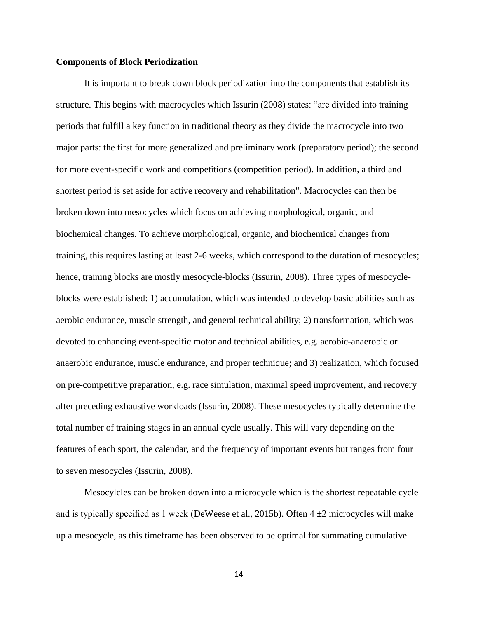#### <span id="page-14-0"></span>**Components of Block Periodization**

It is important to break down block periodization into the components that establish its structure. This begins with macrocycles which Issurin (2008) states: "are divided into training periods that fulfill a key function in traditional theory as they divide the macrocycle into two major parts: the first for more generalized and preliminary work (preparatory period); the second for more event-specific work and competitions (competition period). In addition, a third and shortest period is set aside for active recovery and rehabilitation". Macrocycles can then be broken down into mesocycles which focus on achieving morphological, organic, and biochemical changes. To achieve morphological, organic, and biochemical changes from training, this requires lasting at least 2-6 weeks, which correspond to the duration of mesocycles; hence, training blocks are mostly mesocycle-blocks (Issurin, 2008). Three types of mesocycleblocks were established: 1) accumulation, which was intended to develop basic abilities such as aerobic endurance, muscle strength, and general technical ability; 2) transformation, which was devoted to enhancing event-specific motor and technical abilities, e.g. aerobic-anaerobic or anaerobic endurance, muscle endurance, and proper technique; and 3) realization, which focused on pre-competitive preparation, e.g. race simulation, maximal speed improvement, and recovery after preceding exhaustive workloads (Issurin, 2008). These mesocycles typically determine the total number of training stages in an annual cycle usually. This will vary depending on the features of each sport, the calendar, and the frequency of important events but ranges from four to seven mesocycles (Issurin, 2008).

Mesocylcles can be broken down into a microcycle which is the shortest repeatable cycle and is typically specified as 1 week (DeWeese et al., 2015b). Often  $4 \pm 2$  microcycles will make up a mesocycle, as this timeframe has been observed to be optimal for summating cumulative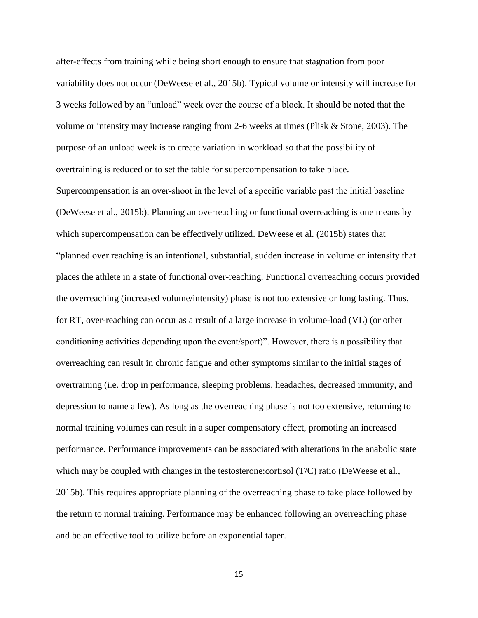after-effects from training while being short enough to ensure that stagnation from poor variability does not occur (DeWeese et al., 2015b). Typical volume or intensity will increase for 3 weeks followed by an "unload" week over the course of a block. It should be noted that the volume or intensity may increase ranging from 2-6 weeks at times (Plisk & Stone, 2003). The purpose of an unload week is to create variation in workload so that the possibility of overtraining is reduced or to set the table for supercompensation to take place.

Supercompensation is an over-shoot in the level of a specific variable past the initial baseline (DeWeese et al., 2015b). Planning an overreaching or functional overreaching is one means by which supercompensation can be effectively utilized. DeWeese et al. (2015b) states that "planned over reaching is an intentional, substantial, sudden increase in volume or intensity that places the athlete in a state of functional over-reaching. Functional overreaching occurs provided the overreaching (increased volume/intensity) phase is not too extensive or long lasting. Thus, for RT, over-reaching can occur as a result of a large increase in volume-load (VL) (or other conditioning activities depending upon the event/sport)". However, there is a possibility that overreaching can result in chronic fatigue and other symptoms similar to the initial stages of overtraining (i.e. drop in performance, sleeping problems, headaches, decreased immunity, and depression to name a few). As long as the overreaching phase is not too extensive, returning to normal training volumes can result in a super compensatory effect, promoting an increased performance. Performance improvements can be associated with alterations in the anabolic state which may be coupled with changes in the testosterone: cortisol (T/C) ratio (DeWeese et al., 2015b). This requires appropriate planning of the overreaching phase to take place followed by the return to normal training. Performance may be enhanced following an overreaching phase and be an effective tool to utilize before an exponential taper.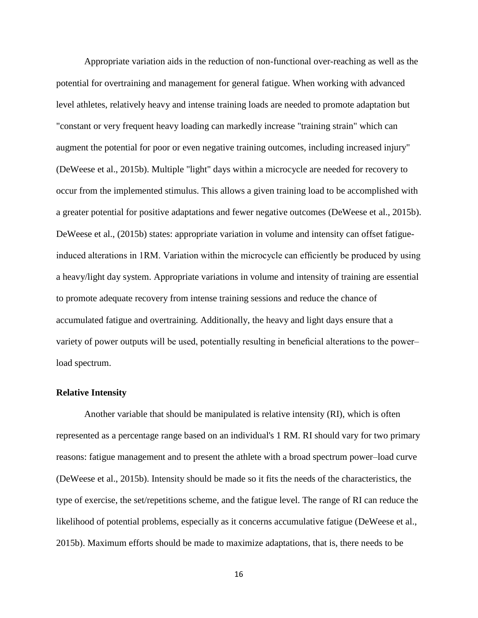Appropriate variation aids in the reduction of non-functional over-reaching as well as the potential for overtraining and management for general fatigue. When working with advanced level athletes, relatively heavy and intense training loads are needed to promote adaptation but "constant or very frequent heavy loading can markedly increase "training strain" which can augment the potential for poor or even negative training outcomes, including increased injury" (DeWeese et al., 2015b). Multiple "light" days within a microcycle are needed for recovery to occur from the implemented stimulus. This allows a given training load to be accomplished with a greater potential for positive adaptations and fewer negative outcomes (DeWeese et al., 2015b). DeWeese et al., (2015b) states: appropriate variation in volume and intensity can offset fatigueinduced alterations in 1RM. Variation within the microcycle can efficiently be produced by using a heavy/light day system. Appropriate variations in volume and intensity of training are essential to promote adequate recovery from intense training sessions and reduce the chance of accumulated fatigue and overtraining. Additionally, the heavy and light days ensure that a variety of power outputs will be used, potentially resulting in beneficial alterations to the power– load spectrum.

### <span id="page-16-0"></span>**Relative Intensity**

Another variable that should be manipulated is relative intensity (RI), which is often represented as a percentage range based on an individual's 1 RM. RI should vary for two primary reasons: fatigue management and to present the athlete with a broad spectrum power–load curve (DeWeese et al., 2015b). Intensity should be made so it fits the needs of the characteristics, the type of exercise, the set/repetitions scheme, and the fatigue level. The range of RI can reduce the likelihood of potential problems, especially as it concerns accumulative fatigue (DeWeese et al., 2015b). Maximum efforts should be made to maximize adaptations, that is, there needs to be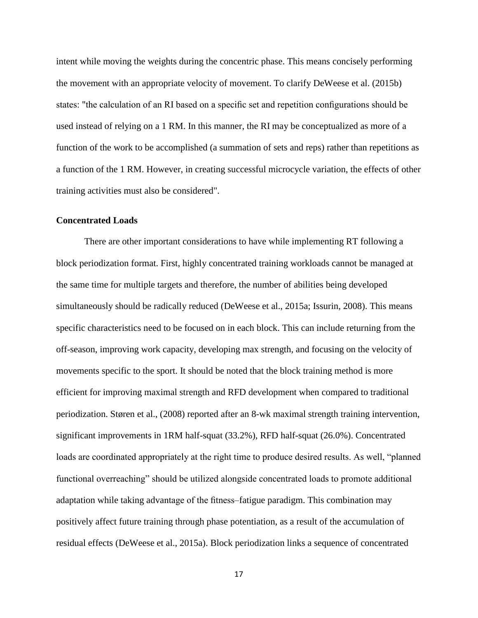intent while moving the weights during the concentric phase. This means concisely performing the movement with an appropriate velocity of movement. To clarify DeWeese et al. (2015b) states: "the calculation of an RI based on a specific set and repetition configurations should be used instead of relying on a 1 RM. In this manner, the RI may be conceptualized as more of a function of the work to be accomplished (a summation of sets and reps) rather than repetitions as a function of the 1 RM. However, in creating successful microcycle variation, the effects of other training activities must also be considered".

### <span id="page-17-0"></span>**Concentrated Loads**

There are other important considerations to have while implementing RT following a block periodization format. First, highly concentrated training workloads cannot be managed at the same time for multiple targets and therefore, the number of abilities being developed simultaneously should be radically reduced (DeWeese et al., 2015a; Issurin, 2008). This means specific characteristics need to be focused on in each block. This can include returning from the off-season, improving work capacity, developing max strength, and focusing on the velocity of movements specific to the sport. It should be noted that the block training method is more efficient for improving maximal strength and RFD development when compared to traditional periodization. Støren et al., (2008) reported after an 8-wk maximal strength training intervention, significant improvements in 1RM half-squat (33.2%), RFD half-squat (26.0%). Concentrated loads are coordinated appropriately at the right time to produce desired results. As well, "planned functional overreaching" should be utilized alongside concentrated loads to promote additional adaptation while taking advantage of the fitness–fatigue paradigm. This combination may positively affect future training through phase potentiation, as a result of the accumulation of residual effects (DeWeese et al., 2015a). Block periodization links a sequence of concentrated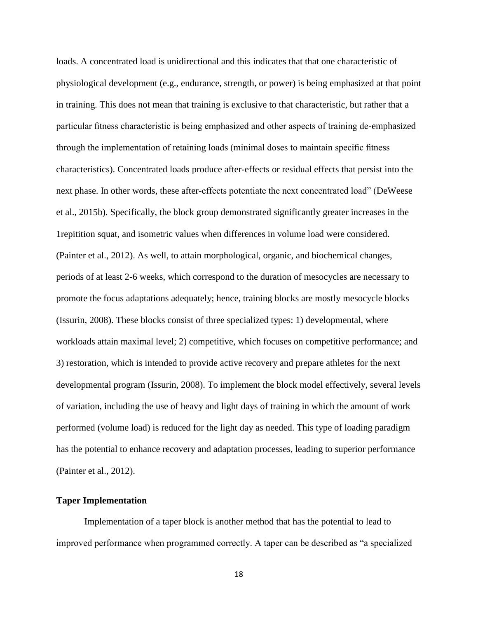loads. A concentrated load is unidirectional and this indicates that that one characteristic of physiological development (e.g., endurance, strength, or power) is being emphasized at that point in training. This does not mean that training is exclusive to that characteristic, but rather that a particular fitness characteristic is being emphasized and other aspects of training de-emphasized through the implementation of retaining loads (minimal doses to maintain specific fitness characteristics). Concentrated loads produce after-effects or residual effects that persist into the next phase. In other words, these after-effects potentiate the next concentrated load" (DeWeese et al., 2015b). Specifically, the block group demonstrated significantly greater increases in the 1repitition squat, and isometric values when differences in volume load were considered. (Painter et al., 2012). As well, to attain morphological, organic, and biochemical changes, periods of at least 2-6 weeks, which correspond to the duration of mesocycles are necessary to promote the focus adaptations adequately; hence, training blocks are mostly mesocycle blocks (Issurin, 2008). These blocks consist of three specialized types: 1) developmental, where workloads attain maximal level; 2) competitive, which focuses on competitive performance; and 3) restoration, which is intended to provide active recovery and prepare athletes for the next developmental program (Issurin, 2008). To implement the block model effectively, several levels of variation, including the use of heavy and light days of training in which the amount of work performed (volume load) is reduced for the light day as needed. This type of loading paradigm has the potential to enhance recovery and adaptation processes, leading to superior performance (Painter et al., 2012).

### <span id="page-18-0"></span>**Taper Implementation**

Implementation of a taper block is another method that has the potential to lead to improved performance when programmed correctly. A taper can be described as "a specialized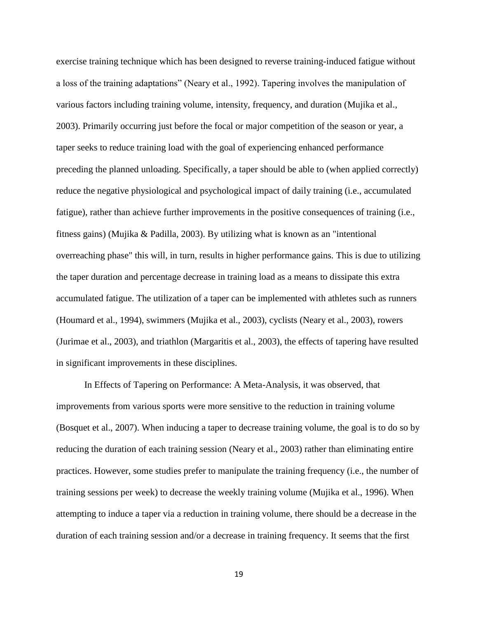exercise training technique which has been designed to reverse training-induced fatigue without a loss of the training adaptations" (Neary et al., 1992). Tapering involves the manipulation of various factors including training volume, intensity, frequency, and duration (Mujika et al., 2003). Primarily occurring just before the focal or major competition of the season or year, a taper seeks to reduce training load with the goal of experiencing enhanced performance preceding the planned unloading. Specifically, a taper should be able to (when applied correctly) reduce the negative physiological and psychological impact of daily training (i.e., accumulated fatigue), rather than achieve further improvements in the positive consequences of training (i.e., fitness gains) (Mujika & Padilla, 2003). By utilizing what is known as an "intentional overreaching phase" this will, in turn, results in higher performance gains. This is due to utilizing the taper duration and percentage decrease in training load as a means to dissipate this extra accumulated fatigue. The utilization of a taper can be implemented with athletes such as runners (Houmard et al., 1994), swimmers (Mujika et al., 2003), cyclists (Neary et al., 2003), rowers (Jurimae et al., 2003), and triathlon (Margaritis et al., 2003), the effects of tapering have resulted in significant improvements in these disciplines.

In Effects of Tapering on Performance: A Meta-Analysis, it was observed, that improvements from various sports were more sensitive to the reduction in training volume (Bosquet et al., 2007). When inducing a taper to decrease training volume, the goal is to do so by reducing the duration of each training session (Neary et al., 2003) rather than eliminating entire practices. However, some studies prefer to manipulate the training frequency (i.e., the number of training sessions per week) to decrease the weekly training volume (Mujika et al., 1996). When attempting to induce a taper via a reduction in training volume, there should be a decrease in the duration of each training session and/or a decrease in training frequency. It seems that the first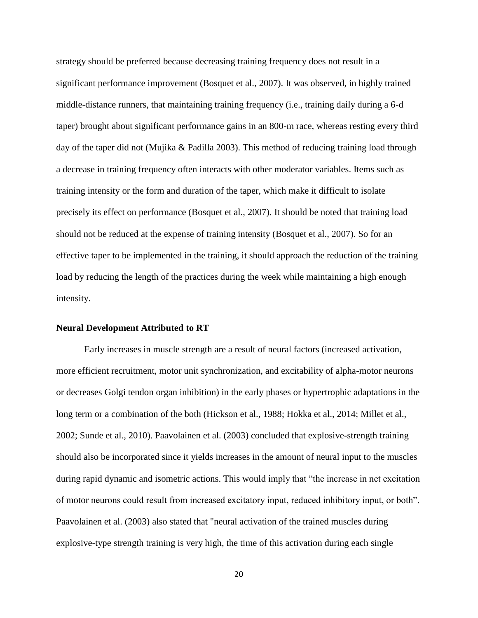strategy should be preferred because decreasing training frequency does not result in a significant performance improvement (Bosquet et al., 2007). It was observed, in highly trained middle-distance runners, that maintaining training frequency (i.e., training daily during a 6-d taper) brought about significant performance gains in an 800-m race, whereas resting every third day of the taper did not (Mujika & Padilla 2003). This method of reducing training load through a decrease in training frequency often interacts with other moderator variables. Items such as training intensity or the form and duration of the taper, which make it difficult to isolate precisely its effect on performance (Bosquet et al., 2007). It should be noted that training load should not be reduced at the expense of training intensity (Bosquet et al., 2007). So for an effective taper to be implemented in the training, it should approach the reduction of the training load by reducing the length of the practices during the week while maintaining a high enough intensity.

#### <span id="page-20-0"></span>**Neural Development Attributed to RT**

Early increases in muscle strength are a result of neural factors (increased activation, more efficient recruitment, motor unit synchronization, and excitability of alpha-motor neurons or decreases Golgi tendon organ inhibition) in the early phases or hypertrophic adaptations in the long term or a combination of the both (Hickson et al., 1988; Hokka et al., 2014; Millet et al., 2002; Sunde et al., 2010). Paavolainen et al. (2003) concluded that explosive-strength training should also be incorporated since it yields increases in the amount of neural input to the muscles during rapid dynamic and isometric actions. This would imply that "the increase in net excitation of motor neurons could result from increased excitatory input, reduced inhibitory input, or both". Paavolainen et al. (2003) also stated that "neural activation of the trained muscles during explosive-type strength training is very high, the time of this activation during each single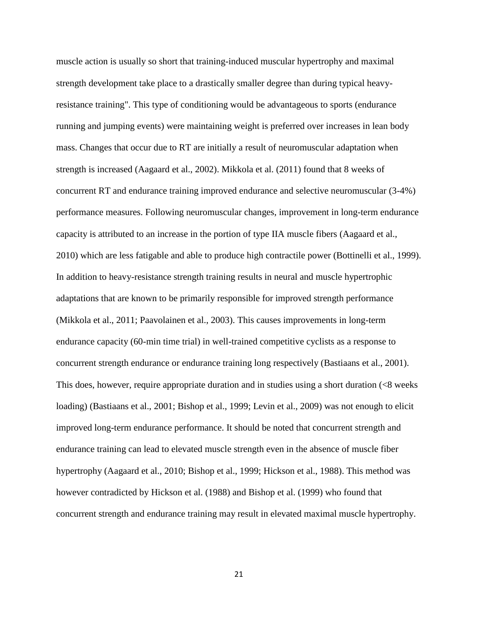muscle action is usually so short that training-induced muscular hypertrophy and maximal strength development take place to a drastically smaller degree than during typical heavyresistance training". This type of conditioning would be advantageous to sports (endurance running and jumping events) were maintaining weight is preferred over increases in lean body mass. Changes that occur due to RT are initially a result of neuromuscular adaptation when strength is increased (Aagaard et al., 2002). Mikkola et al. (2011) found that 8 weeks of concurrent RT and endurance training improved endurance and selective neuromuscular (3-4%) performance measures. Following neuromuscular changes, improvement in long-term endurance capacity is attributed to an increase in the portion of type IIA muscle fibers (Aagaard et al., 2010) which are less fatigable and able to produce high contractile power (Bottinelli et al., 1999). In addition to heavy-resistance strength training results in neural and muscle hypertrophic adaptations that are known to be primarily responsible for improved strength performance (Mikkola et al., 2011; Paavolainen et al., 2003). This causes improvements in long-term endurance capacity (60-min time trial) in well-trained competitive cyclists as a response to concurrent strength endurance or endurance training long respectively (Bastiaans et al., 2001). This does, however, require appropriate duration and in studies using a short duration (<8 weeks loading) (Bastiaans et al., 2001; Bishop et al., 1999; Levin et al., 2009) was not enough to elicit improved long-term endurance performance. It should be noted that concurrent strength and endurance training can lead to elevated muscle strength even in the absence of muscle fiber hypertrophy (Aagaard et al., 2010; Bishop et al., 1999; Hickson et al., 1988). This method was however contradicted by Hickson et al. (1988) and Bishop et al. (1999) who found that concurrent strength and endurance training may result in elevated maximal muscle hypertrophy.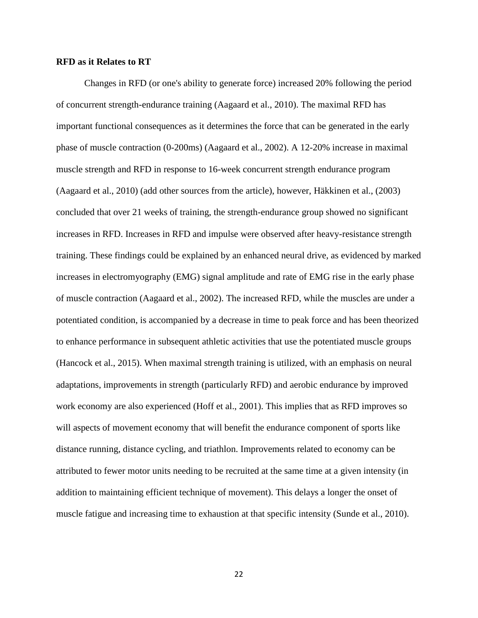#### <span id="page-22-0"></span>**RFD as it Relates to RT**

Changes in RFD (or one's ability to generate force) increased 20% following the period of concurrent strength-endurance training (Aagaard et al., 2010). The maximal RFD has important functional consequences as it determines the force that can be generated in the early phase of muscle contraction (0-200ms) (Aagaard et al., 2002). A 12-20% increase in maximal muscle strength and RFD in response to 16-week concurrent strength endurance program (Aagaard et al., 2010) (add other sources from the article), however, Häkkinen et al., (2003) concluded that over 21 weeks of training, the strength-endurance group showed no significant increases in RFD. Increases in RFD and impulse were observed after heavy-resistance strength training. These findings could be explained by an enhanced neural drive, as evidenced by marked increases in electromyography (EMG) signal amplitude and rate of EMG rise in the early phase of muscle contraction (Aagaard et al., 2002). The increased RFD, while the muscles are under a potentiated condition, is accompanied by a decrease in time to peak force and has been theorized to enhance performance in subsequent athletic activities that use the potentiated muscle groups (Hancock et al., 2015). When maximal strength training is utilized, with an emphasis on neural adaptations, improvements in strength (particularly RFD) and aerobic endurance by improved work economy are also experienced (Hoff et al., 2001). This implies that as RFD improves so will aspects of movement economy that will benefit the endurance component of sports like distance running, distance cycling, and triathlon. Improvements related to economy can be attributed to fewer motor units needing to be recruited at the same time at a given intensity (in addition to maintaining efficient technique of movement). This delays a longer the onset of muscle fatigue and increasing time to exhaustion at that specific intensity (Sunde et al., 2010).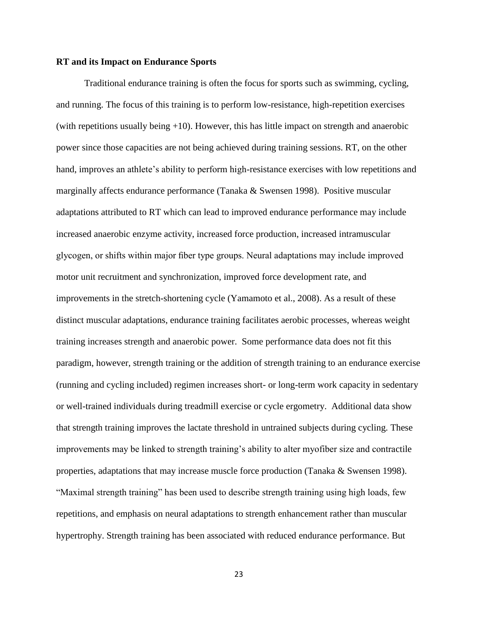#### <span id="page-23-0"></span>**RT and its Impact on Endurance Sports**

Traditional endurance training is often the focus for sports such as swimming, cycling, and running. The focus of this training is to perform low-resistance, high-repetition exercises (with repetitions usually being +10). However, this has little impact on strength and anaerobic power since those capacities are not being achieved during training sessions. RT, on the other hand, improves an athlete's ability to perform high-resistance exercises with low repetitions and marginally affects endurance performance (Tanaka & Swensen 1998). Positive muscular adaptations attributed to RT which can lead to improved endurance performance may include increased anaerobic enzyme activity, increased force production, increased intramuscular glycogen, or shifts within major fiber type groups. Neural adaptations may include improved motor unit recruitment and synchronization, improved force development rate, and improvements in the stretch-shortening cycle (Yamamoto et al., 2008). As a result of these distinct muscular adaptations, endurance training facilitates aerobic processes, whereas weight training increases strength and anaerobic power. Some performance data does not fit this paradigm, however, strength training or the addition of strength training to an endurance exercise (running and cycling included) regimen increases short- or long-term work capacity in sedentary or well-trained individuals during treadmill exercise or cycle ergometry. Additional data show that strength training improves the lactate threshold in untrained subjects during cycling. These improvements may be linked to strength training's ability to alter myofiber size and contractile properties, adaptations that may increase muscle force production (Tanaka & Swensen 1998). "Maximal strength training" has been used to describe strength training using high loads, few repetitions, and emphasis on neural adaptations to strength enhancement rather than muscular hypertrophy. Strength training has been associated with reduced endurance performance. But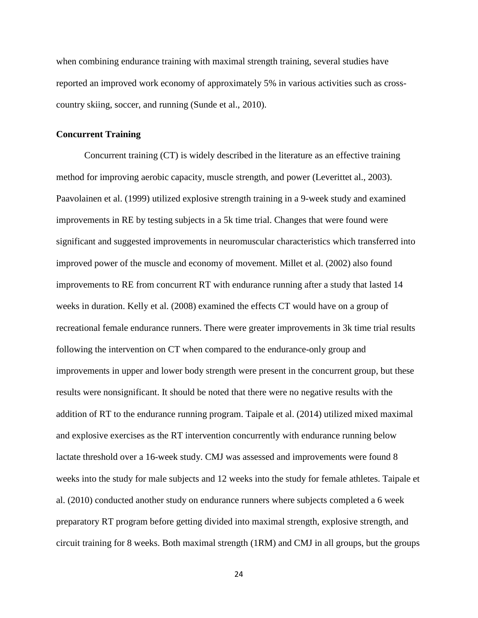when combining endurance training with maximal strength training, several studies have reported an improved work economy of approximately 5% in various activities such as crosscountry skiing, soccer, and running (Sunde et al., 2010).

#### <span id="page-24-0"></span>**Concurrent Training**

Concurrent training (CT) is widely described in the literature as an effective training method for improving aerobic capacity, muscle strength, and power (Leverittet al., 2003). Paavolainen et al. (1999) utilized explosive strength training in a 9-week study and examined improvements in RE by testing subjects in a 5k time trial. Changes that were found were significant and suggested improvements in neuromuscular characteristics which transferred into improved power of the muscle and economy of movement. Millet et al. (2002) also found improvements to RE from concurrent RT with endurance running after a study that lasted 14 weeks in duration. Kelly et al. (2008) examined the effects CT would have on a group of recreational female endurance runners. There were greater improvements in 3k time trial results following the intervention on CT when compared to the endurance-only group and improvements in upper and lower body strength were present in the concurrent group, but these results were nonsignificant. It should be noted that there were no negative results with the addition of RT to the endurance running program. Taipale et al. (2014) utilized mixed maximal and explosive exercises as the RT intervention concurrently with endurance running below lactate threshold over a 16-week study. CMJ was assessed and improvements were found 8 weeks into the study for male subjects and 12 weeks into the study for female athletes. Taipale et al. (2010) conducted another study on endurance runners where subjects completed a 6 week preparatory RT program before getting divided into maximal strength, explosive strength, and circuit training for 8 weeks. Both maximal strength (1RM) and CMJ in all groups, but the groups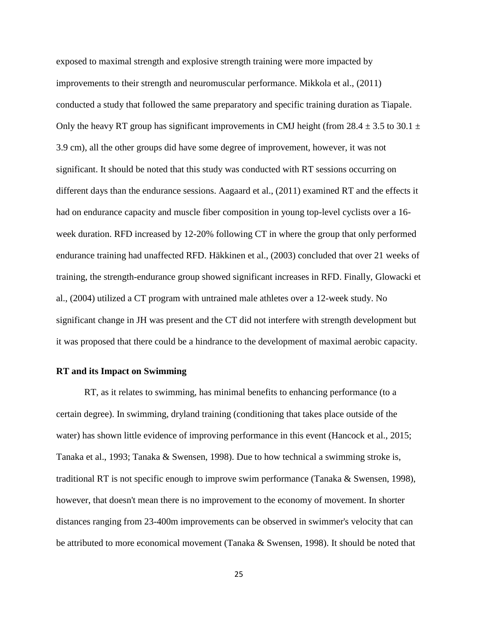exposed to maximal strength and explosive strength training were more impacted by improvements to their strength and neuromuscular performance. Mikkola et al., (2011) conducted a study that followed the same preparatory and specific training duration as Tiapale. Only the heavy RT group has significant improvements in CMJ height (from 28.4  $\pm$  3.5 to 30.1  $\pm$ 3.9 cm), all the other groups did have some degree of improvement, however, it was not significant. It should be noted that this study was conducted with RT sessions occurring on different days than the endurance sessions. Aagaard et al., (2011) examined RT and the effects it had on endurance capacity and muscle fiber composition in young top-level cyclists over a 16 week duration. RFD increased by 12-20% following CT in where the group that only performed endurance training had unaffected RFD. Häkkinen et al., (2003) concluded that over 21 weeks of training, the strength-endurance group showed significant increases in RFD. Finally, Glowacki et al., (2004) utilized a CT program with untrained male athletes over a 12-week study. No significant change in JH was present and the CT did not interfere with strength development but it was proposed that there could be a hindrance to the development of maximal aerobic capacity.

### <span id="page-25-0"></span>**RT and its Impact on Swimming**

RT, as it relates to swimming, has minimal benefits to enhancing performance (to a certain degree). In swimming, dryland training (conditioning that takes place outside of the water) has shown little evidence of improving performance in this event (Hancock et al., 2015; Tanaka et al., 1993; Tanaka & Swensen, 1998). Due to how technical a swimming stroke is, traditional RT is not specific enough to improve swim performance (Tanaka & Swensen, 1998), however, that doesn't mean there is no improvement to the economy of movement. In shorter distances ranging from 23-400m improvements can be observed in swimmer's velocity that can be attributed to more economical movement (Tanaka & Swensen, 1998). It should be noted that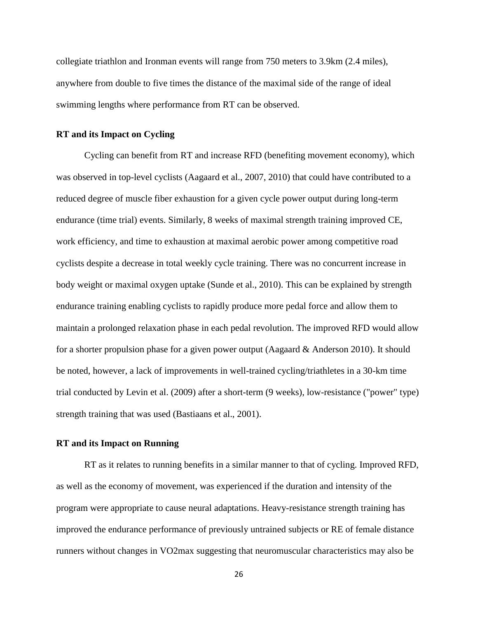collegiate triathlon and Ironman events will range from 750 meters to 3.9km (2.4 miles), anywhere from double to five times the distance of the maximal side of the range of ideal swimming lengths where performance from RT can be observed.

#### <span id="page-26-0"></span>**RT and its Impact on Cycling**

Cycling can benefit from RT and increase RFD (benefiting movement economy), which was observed in top-level cyclists (Aagaard et al., 2007, 2010) that could have contributed to a reduced degree of muscle fiber exhaustion for a given cycle power output during long-term endurance (time trial) events. Similarly, 8 weeks of maximal strength training improved CE, work efficiency, and time to exhaustion at maximal aerobic power among competitive road cyclists despite a decrease in total weekly cycle training. There was no concurrent increase in body weight or maximal oxygen uptake (Sunde et al., 2010). This can be explained by strength endurance training enabling cyclists to rapidly produce more pedal force and allow them to maintain a prolonged relaxation phase in each pedal revolution. The improved RFD would allow for a shorter propulsion phase for a given power output (Aagaard & Anderson 2010). It should be noted, however, a lack of improvements in well-trained cycling/triathletes in a 30-km time trial conducted by Levin et al. (2009) after a short-term (9 weeks), low-resistance ("power" type) strength training that was used (Bastiaans et al., 2001).

#### <span id="page-26-1"></span>**RT and its Impact on Running**

RT as it relates to running benefits in a similar manner to that of cycling. Improved RFD, as well as the economy of movement, was experienced if the duration and intensity of the program were appropriate to cause neural adaptations. Heavy-resistance strength training has improved the endurance performance of previously untrained subjects or RE of female distance runners without changes in VO2max suggesting that neuromuscular characteristics may also be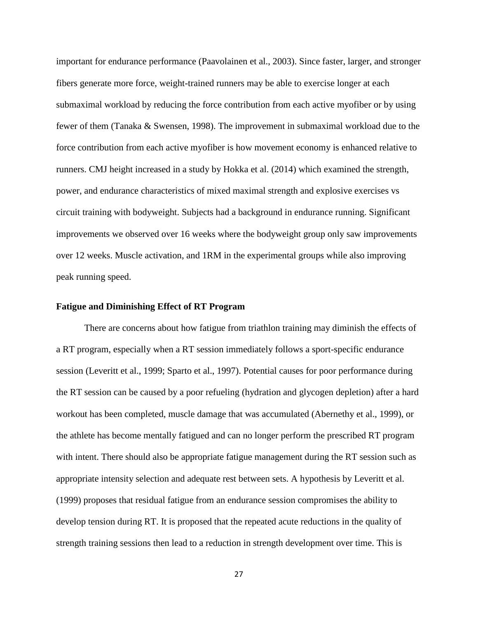important for endurance performance (Paavolainen et al., 2003). Since faster, larger, and stronger fibers generate more force, weight-trained runners may be able to exercise longer at each submaximal workload by reducing the force contribution from each active myofiber or by using fewer of them (Tanaka & Swensen, 1998). The improvement in submaximal workload due to the force contribution from each active myofiber is how movement economy is enhanced relative to runners. CMJ height increased in a study by Hokka et al. (2014) which examined the strength, power, and endurance characteristics of mixed maximal strength and explosive exercises vs circuit training with bodyweight. Subjects had a background in endurance running. Significant improvements we observed over 16 weeks where the bodyweight group only saw improvements over 12 weeks. Muscle activation, and 1RM in the experimental groups while also improving peak running speed.

#### <span id="page-27-0"></span>**Fatigue and Diminishing Effect of RT Program**

There are concerns about how fatigue from triathlon training may diminish the effects of a RT program, especially when a RT session immediately follows a sport-specific endurance session (Leveritt et al., 1999; Sparto et al., 1997). Potential causes for poor performance during the RT session can be caused by a poor refueling (hydration and glycogen depletion) after a hard workout has been completed, muscle damage that was accumulated (Abernethy et al., 1999), or the athlete has become mentally fatigued and can no longer perform the prescribed RT program with intent. There should also be appropriate fatigue management during the RT session such as appropriate intensity selection and adequate rest between sets. A hypothesis by Leveritt et al. (1999) proposes that residual fatigue from an endurance session compromises the ability to develop tension during RT. It is proposed that the repeated acute reductions in the quality of strength training sessions then lead to a reduction in strength development over time. This is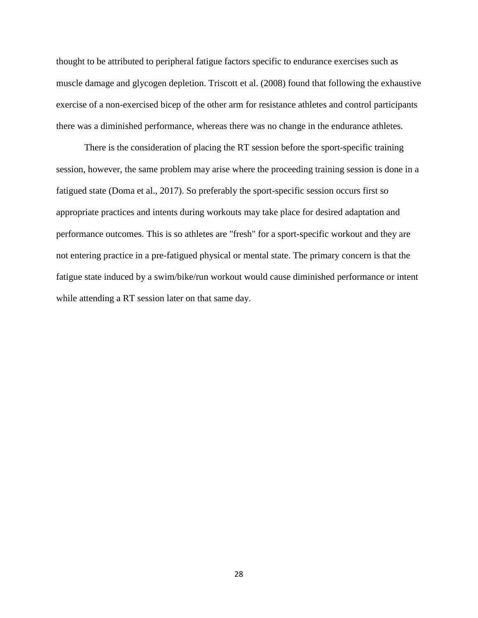thought to be attributed to peripheral fatigue factors specific to endurance exercises such as muscle damage and glycogen depletion. Triscott et al. (2008) found that following the exhaustive exercise of a non-exercised bicep of the other arm for resistance athletes and control participants there was a diminished performance, whereas there was no change in the endurance athletes.

There is the consideration of placing the RT session before the sport-specific training session, however, the same problem may arise where the proceeding training session is done in a fatigued state (Doma et al., 2017). So preferably the sport-specific session occurs first so appropriate practices and intents during workouts may take place for desired adaptation and performance outcomes. This is so athletes are "fresh" for a sport-specific workout and they are not entering practice in a pre-fatigued physical or mental state. The primary concern is that the fatigue state induced by a swim/bike/run workout would cause diminished performance or intent while attending a RT session later on that same day.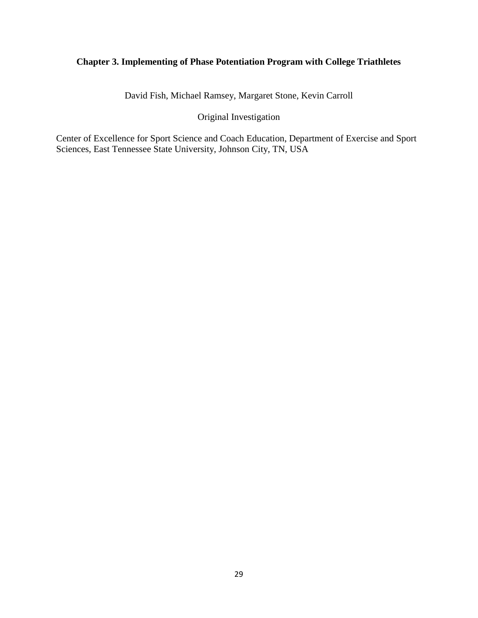# <span id="page-29-0"></span>**Chapter 3. Implementing of Phase Potentiation Program with College Triathletes**

David Fish, Michael Ramsey, Margaret Stone, Kevin Carroll

# Original Investigation

Center of Excellence for Sport Science and Coach Education, Department of Exercise and Sport Sciences, East Tennessee State University, Johnson City, TN, USA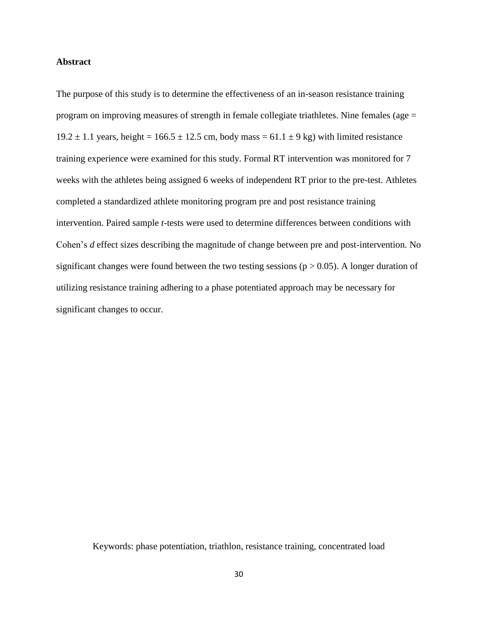#### <span id="page-30-0"></span>**Abstract**

The purpose of this study is to determine the effectiveness of an in-season resistance training program on improving measures of strength in female collegiate triathletes. Nine females (age = 19.2  $\pm$  1.1 years, height = 166.5  $\pm$  12.5 cm, body mass = 61.1  $\pm$  9 kg) with limited resistance training experience were examined for this study. Formal RT intervention was monitored for 7 weeks with the athletes being assigned 6 weeks of independent RT prior to the pre-test. Athletes completed a standardized athlete monitoring program pre and post resistance training intervention. Paired sample *t*-tests were used to determine differences between conditions with Cohen's *d* effect sizes describing the magnitude of change between pre and post-intervention. No significant changes were found between the two testing sessions ( $p > 0.05$ ). A longer duration of utilizing resistance training adhering to a phase potentiated approach may be necessary for significant changes to occur.

<span id="page-30-1"></span>Keywords: phase potentiation, triathlon, resistance training, concentrated load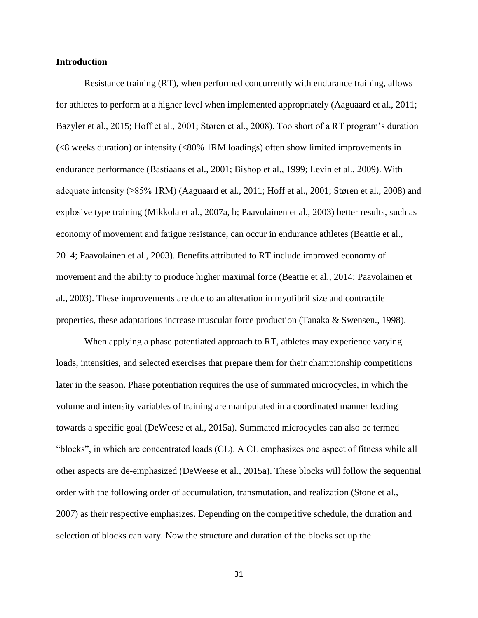#### **Introduction**

Resistance training (RT), when performed concurrently with endurance training, allows for athletes to perform at a higher level when implemented appropriately (Aaguaard et al., 2011; Bazyler et al., 2015; Hoff et al., 2001; Støren et al., 2008). Too short of a RT program's duration (<8 weeks duration) or intensity (<80% 1RM loadings) often show limited improvements in endurance performance (Bastiaans et al., 2001; Bishop et al., 1999; Levin et al., 2009). With adequate intensity (≥85% 1RM) (Aaguaard et al., 2011; Hoff et al., 2001; Støren et al., 2008) and explosive type training (Mikkola et al., 2007a, b; Paavolainen et al., 2003) better results, such as economy of movement and fatigue resistance, can occur in endurance athletes (Beattie et al., 2014; Paavolainen et al., 2003). Benefits attributed to RT include improved economy of movement and the ability to produce higher maximal force (Beattie et al., 2014; Paavolainen et al., 2003). These improvements are due to an alteration in myofibril size and contractile properties, these adaptations increase muscular force production (Tanaka & Swensen., 1998).

When applying a phase potentiated approach to RT, athletes may experience varying loads, intensities, and selected exercises that prepare them for their championship competitions later in the season. Phase potentiation requires the use of summated microcycles, in which the volume and intensity variables of training are manipulated in a coordinated manner leading towards a specific goal (DeWeese et al., 2015a). Summated microcycles can also be termed "blocks", in which are concentrated loads (CL). A CL emphasizes one aspect of fitness while all other aspects are de-emphasized (DeWeese et al., 2015a). These blocks will follow the sequential order with the following order of accumulation, transmutation, and realization (Stone et al., 2007) as their respective emphasizes. Depending on the competitive schedule, the duration and selection of blocks can vary. Now the structure and duration of the blocks set up the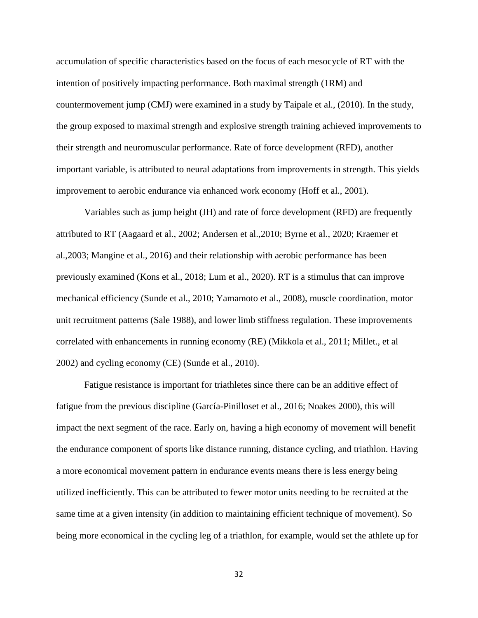accumulation of specific characteristics based on the focus of each mesocycle of RT with the intention of positively impacting performance. Both maximal strength (1RM) and countermovement jump (CMJ) were examined in a study by Taipale et al., (2010). In the study, the group exposed to maximal strength and explosive strength training achieved improvements to their strength and neuromuscular performance. Rate of force development (RFD), another important variable, is attributed to neural adaptations from improvements in strength. This yields improvement to aerobic endurance via enhanced work economy (Hoff et al., 2001).

Variables such as jump height (JH) and rate of force development (RFD) are frequently attributed to RT (Aagaard et al., 2002; Andersen et al.,2010; Byrne et al., 2020; Kraemer et al.,2003; Mangine et al., 2016) and their relationship with aerobic performance has been previously examined (Kons et al., 2018; Lum et al., 2020). RT is a stimulus that can improve mechanical efficiency (Sunde et al., 2010; Yamamoto et al., 2008), muscle coordination, motor unit recruitment patterns (Sale 1988), and lower limb stiffness regulation. These improvements correlated with enhancements in running economy (RE) (Mikkola et al., 2011; Millet., et al 2002) and cycling economy (CE) (Sunde et al., 2010).

Fatigue resistance is important for triathletes since there can be an additive effect of fatigue from the previous discipline (García-Pinilloset et al., 2016; Noakes 2000), this will impact the next segment of the race. Early on, having a high economy of movement will benefit the endurance component of sports like distance running, distance cycling, and triathlon. Having a more economical movement pattern in endurance events means there is less energy being utilized inefficiently. This can be attributed to fewer motor units needing to be recruited at the same time at a given intensity (in addition to maintaining efficient technique of movement). So being more economical in the cycling leg of a triathlon, for example, would set the athlete up for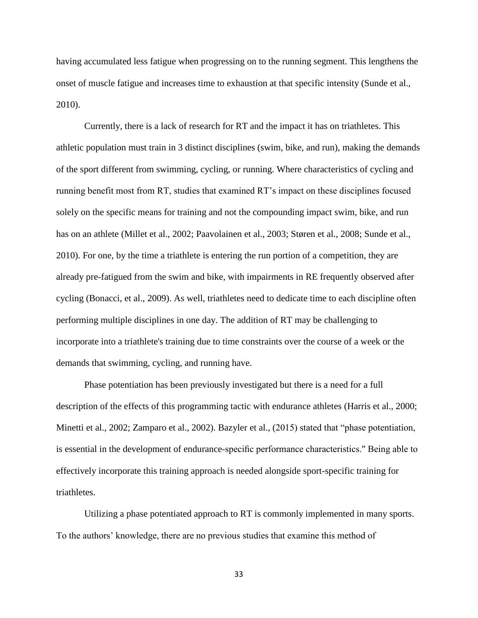having accumulated less fatigue when progressing on to the running segment. This lengthens the onset of muscle fatigue and increases time to exhaustion at that specific intensity (Sunde et al., 2010).

Currently, there is a lack of research for RT and the impact it has on triathletes. This athletic population must train in 3 distinct disciplines (swim, bike, and run), making the demands of the sport different from swimming, cycling, or running. Where characteristics of cycling and running benefit most from RT, studies that examined RT's impact on these disciplines focused solely on the specific means for training and not the compounding impact swim, bike, and run has on an athlete (Millet et al., 2002; Paavolainen et al., 2003; Støren et al., 2008; Sunde et al., 2010). For one, by the time a triathlete is entering the run portion of a competition, they are already pre-fatigued from the swim and bike, with impairments in RE frequently observed after cycling (Bonacci, et al., 2009). As well, triathletes need to dedicate time to each discipline often performing multiple disciplines in one day. The addition of RT may be challenging to incorporate into a triathlete's training due to time constraints over the course of a week or the demands that swimming, cycling, and running have.

Phase potentiation has been previously investigated but there is a need for a full description of the effects of this programming tactic with endurance athletes (Harris et al., 2000; Minetti et al., 2002; Zamparo et al., 2002). Bazyler et al., (2015) stated that "phase potentiation, is essential in the development of endurance-specific performance characteristics." Being able to effectively incorporate this training approach is needed alongside sport-specific training for triathletes.

Utilizing a phase potentiated approach to RT is commonly implemented in many sports. To the authors' knowledge, there are no previous studies that examine this method of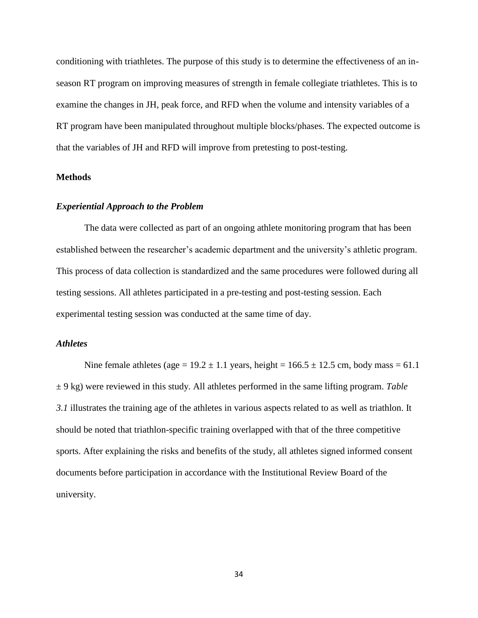conditioning with triathletes. The purpose of this study is to determine the effectiveness of an inseason RT program on improving measures of strength in female collegiate triathletes. This is to examine the changes in JH, peak force, and RFD when the volume and intensity variables of a RT program have been manipulated throughout multiple blocks/phases. The expected outcome is that the variables of JH and RFD will improve from pretesting to post-testing.

### <span id="page-34-0"></span>**Methods**

#### *Experiential Approach to the Problem*

The data were collected as part of an ongoing athlete monitoring program that has been established between the researcher's academic department and the university's athletic program. This process of data collection is standardized and the same procedures were followed during all testing sessions. All athletes participated in a pre-testing and post-testing session. Each experimental testing session was conducted at the same time of day.

# *Athletes*

Nine female athletes (age =  $19.2 \pm 1.1$  years, height =  $166.5 \pm 12.5$  cm, body mass = 61.1 ± 9 kg) were reviewed in this study. All athletes performed in the same lifting program. *Table 3.1* illustrates the training age of the athletes in various aspects related to as well as triathlon. It should be noted that triathlon-specific training overlapped with that of the three competitive sports. After explaining the risks and benefits of the study, all athletes signed informed consent documents before participation in accordance with the Institutional Review Board of the university.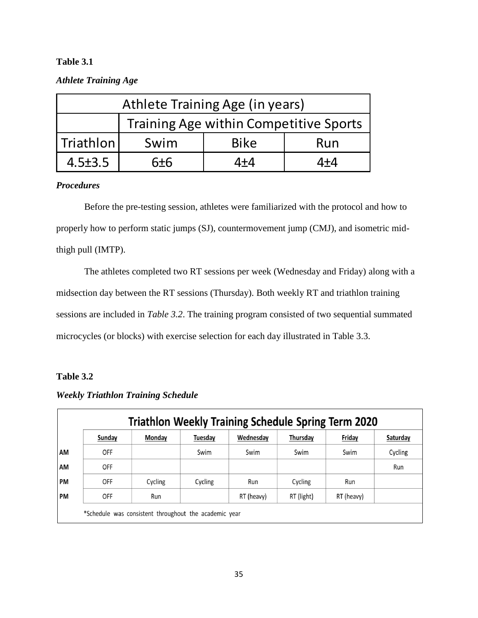# <span id="page-35-0"></span>**Table 3.1**

# *Athlete Training Age*

| Athlete Training Age (in years) |       |             |                                               |  |  |  |  |
|---------------------------------|-------|-------------|-----------------------------------------------|--|--|--|--|
|                                 |       |             | <b>Training Age within Competitive Sports</b> |  |  |  |  |
| <b>Triathlon</b>                | Swim  | <b>Bike</b> | Run                                           |  |  |  |  |
| $4.5 \pm 3.5$                   | $6+6$ | 4+4         | 4+4                                           |  |  |  |  |

# *Procedures*

Before the pre-testing session, athletes were familiarized with the protocol and how to properly how to perform static jumps (SJ), countermovement jump (CMJ), and isometric midthigh pull (IMTP).

The athletes completed two RT sessions per week (Wednesday and Friday) along with a midsection day between the RT sessions (Thursday). Both weekly RT and triathlon training sessions are included in *Table 3.2*. The training program consisted of two sequential summated microcycles (or blocks) with exercise selection for each day illustrated in Table 3.3.

# <span id="page-35-1"></span>**Table 3.2**

<span id="page-35-2"></span>

|           | Sunday     | Monday  | Tuesday | Wednesday  | Thursday   | Friday     | Saturday |
|-----------|------------|---------|---------|------------|------------|------------|----------|
| AM        | <b>OFF</b> |         | Swim    | Swim       | Swim       | Swim       | Cycling  |
| AM        | OFF        |         |         |            |            |            | Run      |
| <b>PM</b> | <b>OFF</b> | Cycling | Cycling | Run        | Cycling    | Run        |          |
| <b>PM</b> | <b>OFF</b> | Run     |         | RT (heavy) | RT (light) | RT (heavy) |          |

# *Weekly Triathlon Training Schedule*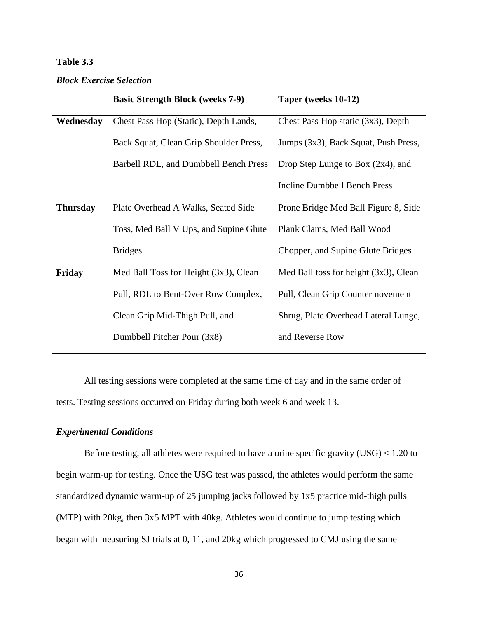# **Table 3.3**

### *Block Exercise Selection*

| <b>Basic Strength Block (weeks 7-9)</b> | Taper (weeks 10-12)                   |
|-----------------------------------------|---------------------------------------|
| Chest Pass Hop (Static), Depth Lands,   | Chest Pass Hop static (3x3), Depth    |
| Back Squat, Clean Grip Shoulder Press,  | Jumps (3x3), Back Squat, Push Press,  |
| Barbell RDL, and Dumbbell Bench Press   | Drop Step Lunge to Box $(2x4)$ , and  |
|                                         | <b>Incline Dumbbell Bench Press</b>   |
| Plate Overhead A Walks, Seated Side     | Prone Bridge Med Ball Figure 8, Side  |
| Toss, Med Ball V Ups, and Supine Glute  | Plank Clams, Med Ball Wood            |
| <b>Bridges</b>                          | Chopper, and Supine Glute Bridges     |
| Med Ball Toss for Height (3x3), Clean   | Med Ball toss for height (3x3), Clean |
| Pull, RDL to Bent-Over Row Complex,     | Pull, Clean Grip Countermovement      |
| Clean Grip Mid-Thigh Pull, and          | Shrug, Plate Overhead Lateral Lunge,  |
| Dumbbell Pitcher Pour (3x8)             | and Reverse Row                       |
|                                         |                                       |

All testing sessions were completed at the same time of day and in the same order of tests. Testing sessions occurred on Friday during both week 6 and week 13.

# *Experimental Conditions*

Before testing, all athletes were required to have a urine specific gravity (USG) < 1.20 to begin warm-up for testing. Once the USG test was passed, the athletes would perform the same standardized dynamic warm-up of 25 jumping jacks followed by 1x5 practice mid-thigh pulls (MTP) with 20kg, then 3x5 MPT with 40kg. Athletes would continue to jump testing which began with measuring SJ trials at 0, 11, and 20kg which progressed to CMJ using the same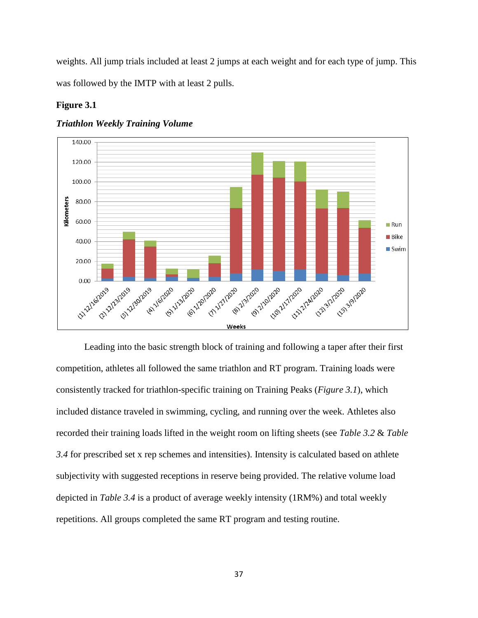weights. All jump trials included at least 2 jumps at each weight and for each type of jump. This was followed by the IMTP with at least 2 pulls.

#### <span id="page-37-1"></span>**Figure 3.1**



*Triathlon Weekly Training Volume*

<span id="page-37-0"></span>Leading into the basic strength block of training and following a taper after their first competition, athletes all followed the same triathlon and RT program. Training loads were consistently tracked for triathlon-specific training on Training Peaks (*Figure 3.1*), which included distance traveled in swimming, cycling, and running over the week. Athletes also recorded their training loads lifted in the weight room on lifting sheets (see *Table 3.2* & *Table 3.4* for prescribed set x rep schemes and intensities). Intensity is calculated based on athlete subjectivity with suggested receptions in reserve being provided. The relative volume load depicted in *Table 3.4* is a product of average weekly intensity (1RM%) and total weekly repetitions. All groups completed the same RT program and testing routine.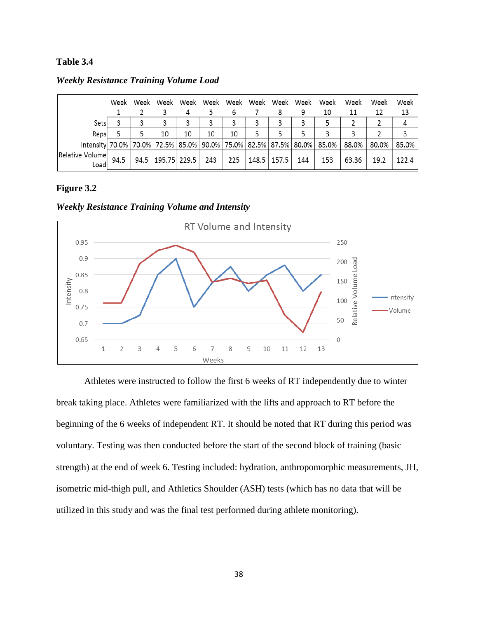## **Table 3.4**

|                 |       | Week | Week | Week                  |    |     |     |   | Week Week Week Week Week Week Week |     |                                                                       | Week  | Week  | Week  |
|-----------------|-------|------|------|-----------------------|----|-----|-----|---|------------------------------------|-----|-----------------------------------------------------------------------|-------|-------|-------|
|                 |       |      |      |                       |    |     | ь   |   | 8                                  |     | 10                                                                    | 11    | 12    | 13    |
|                 | Sets  |      |      | 3                     | 3  | 3   |     | 3 | 3                                  | 3   | 5                                                                     |       |       | 4     |
|                 | Reps  |      | 5    | 10                    | 10 | 10  | 10  | 5 | 5                                  | 5   | 3                                                                     | ٩     |       | 3     |
|                 |       |      |      |                       |    |     |     |   |                                    |     | Intensity 70.0% 70.0% 72.5% 85.0% 90.0% 75.0% 82.5% 87.5% 80.0% 85.0% | 88.0% | 80.0% | 85.0% |
| Relative Volume |       | 94.5 |      | 94.5 $ 195.75 229.5 $ |    | 243 | 225 |   | 148.5   157.5                      | 144 | 153                                                                   | 63.36 | 19.2  | 122.4 |
|                 | Loadl |      |      |                       |    |     |     |   |                                    |     |                                                                       |       |       |       |

*Weekly Resistance Training Volume Load*

### <span id="page-38-0"></span>**Figure 3.2**

*Weekly Resistance Training Volume and Intensity*

![](_page_38_Figure_5.jpeg)

Athletes were instructed to follow the first 6 weeks of RT independently due to winter break taking place. Athletes were familiarized with the lifts and approach to RT before the beginning of the 6 weeks of independent RT. It should be noted that RT during this period was voluntary. Testing was then conducted before the start of the second block of training (basic strength) at the end of week 6. Testing included: hydration, anthropomorphic measurements, JH, isometric mid-thigh pull, and Athletics Shoulder (ASH) tests (which has no data that will be utilized in this study and was the final test performed during athlete monitoring).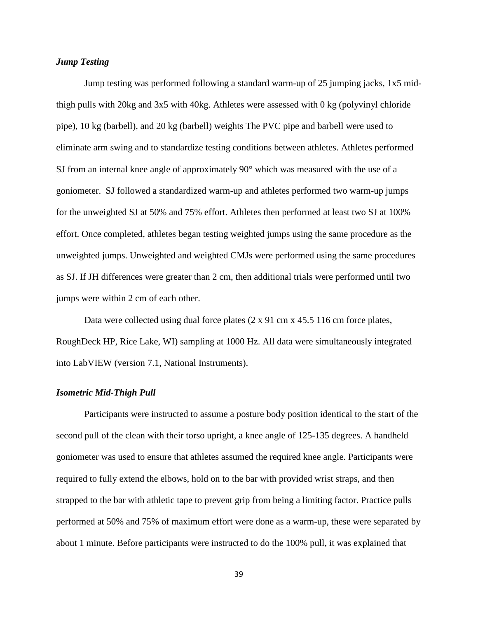### *Jump Testing*

Jump testing was performed following a standard warm-up of 25 jumping jacks, 1x5 midthigh pulls with 20kg and 3x5 with 40kg. Athletes were assessed with 0 kg (polyvinyl chloride pipe), 10 kg (barbell), and 20 kg (barbell) weights The PVC pipe and barbell were used to eliminate arm swing and to standardize testing conditions between athletes. Athletes performed SJ from an internal knee angle of approximately 90° which was measured with the use of a goniometer. SJ followed a standardized warm-up and athletes performed two warm-up jumps for the unweighted SJ at 50% and 75% effort. Athletes then performed at least two SJ at 100% effort. Once completed, athletes began testing weighted jumps using the same procedure as the unweighted jumps. Unweighted and weighted CMJs were performed using the same procedures as SJ. If JH differences were greater than 2 cm, then additional trials were performed until two jumps were within 2 cm of each other.

Data were collected using dual force plates (2 x 91 cm x 45.5 116 cm force plates, RoughDeck HP, Rice Lake, WI) sampling at 1000 Hz. All data were simultaneously integrated into LabVIEW (version 7.1, National Instruments).

#### *Isometric Mid-Thigh Pull*

Participants were instructed to assume a posture body position identical to the start of the second pull of the clean with their torso upright, a knee angle of 125-135 degrees. A handheld goniometer was used to ensure that athletes assumed the required knee angle. Participants were required to fully extend the elbows, hold on to the bar with provided wrist straps, and then strapped to the bar with athletic tape to prevent grip from being a limiting factor. Practice pulls performed at 50% and 75% of maximum effort were done as a warm-up, these were separated by about 1 minute. Before participants were instructed to do the 100% pull, it was explained that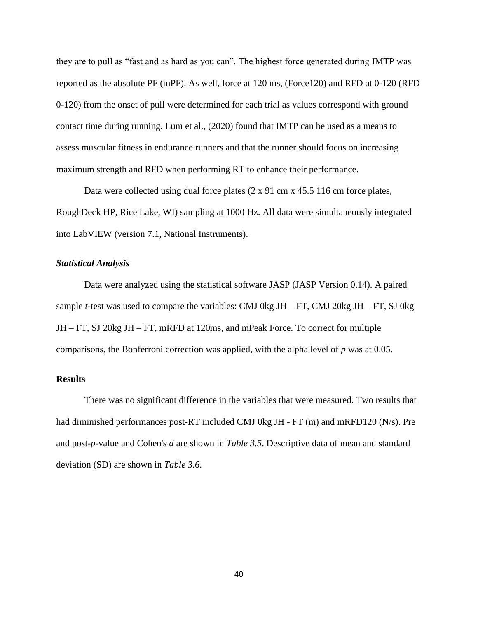they are to pull as "fast and as hard as you can". The highest force generated during IMTP was reported as the absolute PF (mPF). As well, force at 120 ms, (Force120) and RFD at 0-120 (RFD 0-120) from the onset of pull were determined for each trial as values correspond with ground contact time during running. Lum et al., (2020) found that IMTP can be used as a means to assess muscular fitness in endurance runners and that the runner should focus on increasing maximum strength and RFD when performing RT to enhance their performance.

Data were collected using dual force plates (2 x 91 cm x 45.5 116 cm force plates, RoughDeck HP, Rice Lake, WI) sampling at 1000 Hz. All data were simultaneously integrated into LabVIEW (version 7.1, National Instruments).

#### *Statistical Analysis*

Data were analyzed using the statistical software JASP (JASP Version 0.14). A paired sample *t*-test was used to compare the variables: CMJ 0kg JH – FT, CMJ 20kg JH – FT, SJ 0kg JH – FT, SJ 20kg JH – FT, mRFD at 120ms, and mPeak Force. To correct for multiple comparisons, the Bonferroni correction was applied, with the alpha level of *p* was at 0.05.

#### <span id="page-40-0"></span>**Results**

There was no significant difference in the variables that were measured. Two results that had diminished performances post-RT included CMJ 0kg JH - FT (m) and mRFD120 (N/s). Pre and post-*p*-value and Cohen's *d* are shown in *Table 3.5*. Descriptive data of mean and standard deviation (SD) are shown in *Table 3.6*.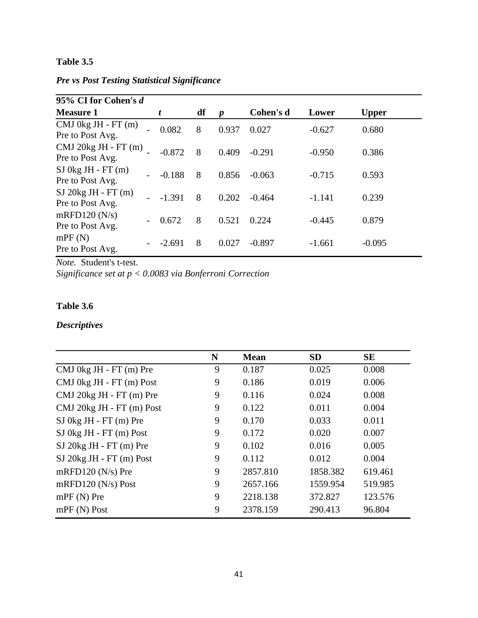# <span id="page-41-0"></span>**Table 3.5**

*Pre vs Post Testing Statistical Significance*

| 95% CI for Cohen's d                            |          |    |                  |           |          |              |
|-------------------------------------------------|----------|----|------------------|-----------|----------|--------------|
| <b>Measure 1</b>                                | t        | df | $\boldsymbol{p}$ | Cohen's d | Lower    | <b>Upper</b> |
| $CMJ$ 0 kg JH - FT $(m)$<br>Pre to Post Avg.    | 0.082    | 8  | 0.937            | 0.027     | $-0.627$ | 0.680        |
| $CMJ$ 20 $kg$ JH - FT $(m)$<br>Pre to Post Avg. | $-0.872$ | 8  | 0.409            | $-0.291$  | $-0.950$ | 0.386        |
| $SI$ 0kg JH - FT $(m)$<br>Pre to Post Avg.      | $-0.188$ | 8  | 0.856            | $-0.063$  | $-0.715$ | 0.593        |
| $SI$ 20 $kg$ JH - FT $(m)$<br>Pre to Post Avg.  | $-1.391$ | 8  | 0.202            | $-0.464$  | $-1.141$ | 0.239        |
| $m$ RFD120 $(N/s)$<br>Pre to Post Avg.          | 0.672    | 8  | 0.521            | 0.224     | $-0.445$ | 0.879        |
| mPF(N)<br>Pre to Post Avg.                      | $-2.691$ | 8  | 0.027            | $-0.897$  | $-1.661$ | $-0.095$     |

*Note.* Student's t-test.

*Significance set at p < 0.0083 via Bonferroni Correction*

# <span id="page-41-1"></span>**Table 3.6**

# *Descriptives*

|                           | N | <b>Mean</b> | <b>SD</b> | <b>SE</b> |
|---------------------------|---|-------------|-----------|-----------|
| CMJ 0kg JH - FT (m) Pre   | 9 | 0.187       | 0.025     | 0.008     |
| CMJ 0kg JH - FT (m) Post  | 9 | 0.186       | 0.019     | 0.006     |
| CMJ 20kg JH - FT (m) Pre  | 9 | 0.116       | 0.024     | 0.008     |
| CMJ 20kg JH - FT (m) Post | 9 | 0.122       | 0.011     | 0.004     |
| $SI$ 0kg JH - FT (m) Pre  | 9 | 0.170       | 0.033     | 0.011     |
| SJ 0kg JH - FT (m) Post   | 9 | 0.172       | 0.020     | 0.007     |
| SJ 20kg JH - FT (m) Pre   | 9 | 0.102       | 0.016     | 0.005     |
| SJ 20kg JH - FT (m) Post  | 9 | 0.112       | 0.012     | 0.004     |
| mRFD120 $(N/s)$ Pre       | 9 | 2857.810    | 1858.382  | 619.461   |
| mRFD120 $(N/s)$ Post      | 9 | 2657.166    | 1559.954  | 519.985   |
| $mPF(N)$ Pre              | 9 | 2218.138    | 372.827   | 123.576   |
| $mPF(N)$ Post             | 9 | 2378.159    | 290.413   | 96.804    |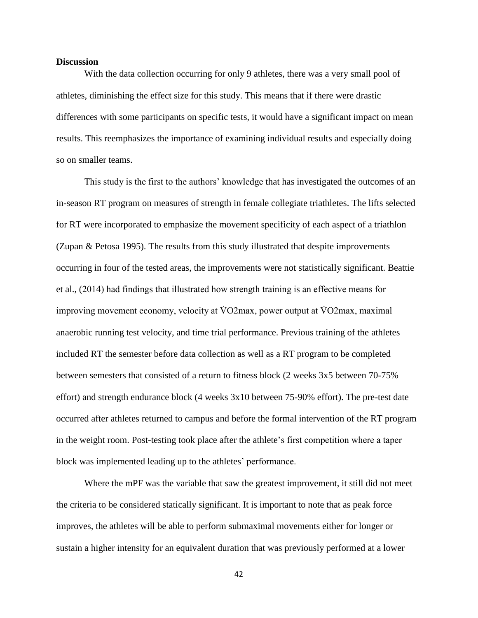#### <span id="page-42-0"></span>**Discussion**

With the data collection occurring for only 9 athletes, there was a very small pool of athletes, diminishing the effect size for this study. This means that if there were drastic differences with some participants on specific tests, it would have a significant impact on mean results. This reemphasizes the importance of examining individual results and especially doing so on smaller teams.

This study is the first to the authors' knowledge that has investigated the outcomes of an in-season RT program on measures of strength in female collegiate triathletes. The lifts selected for RT were incorporated to emphasize the movement specificity of each aspect of a triathlon (Zupan & Petosa 1995). The results from this study illustrated that despite improvements occurring in four of the tested areas, the improvements were not statistically significant. Beattie et al., (2014) had findings that illustrated how strength training is an effective means for improving movement economy, velocity at  $\overline{V}O2$  max, power output at  $\overline{V}O2$  max, maximal anaerobic running test velocity, and time trial performance. Previous training of the athletes included RT the semester before data collection as well as a RT program to be completed between semesters that consisted of a return to fitness block (2 weeks 3x5 between 70-75% effort) and strength endurance block (4 weeks 3x10 between 75-90% effort). The pre-test date occurred after athletes returned to campus and before the formal intervention of the RT program in the weight room. Post-testing took place after the athlete's first competition where a taper block was implemented leading up to the athletes' performance.

Where the mPF was the variable that saw the greatest improvement, it still did not meet the criteria to be considered statically significant. It is important to note that as peak force improves, the athletes will be able to perform submaximal movements either for longer or sustain a higher intensity for an equivalent duration that was previously performed at a lower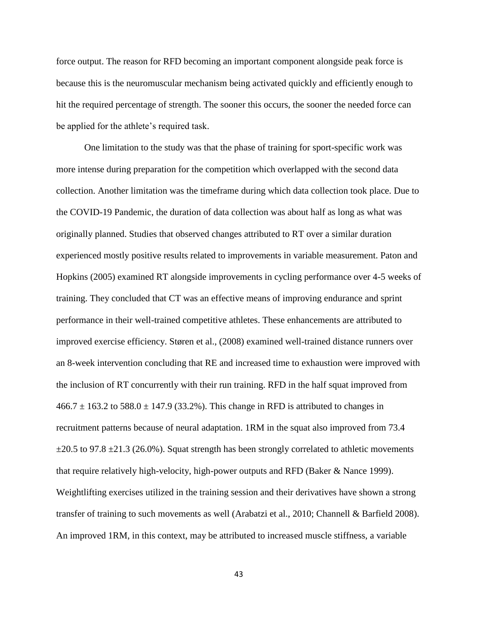force output. The reason for RFD becoming an important component alongside peak force is because this is the neuromuscular mechanism being activated quickly and efficiently enough to hit the required percentage of strength. The sooner this occurs, the sooner the needed force can be applied for the athlete's required task.

One limitation to the study was that the phase of training for sport-specific work was more intense during preparation for the competition which overlapped with the second data collection. Another limitation was the timeframe during which data collection took place. Due to the COVID-19 Pandemic, the duration of data collection was about half as long as what was originally planned. Studies that observed changes attributed to RT over a similar duration experienced mostly positive results related to improvements in variable measurement. Paton and Hopkins (2005) examined RT alongside improvements in cycling performance over 4-5 weeks of training. They concluded that CT was an effective means of improving endurance and sprint performance in their well-trained competitive athletes. These enhancements are attributed to improved exercise efficiency. Støren et al., (2008) examined well-trained distance runners over an 8-week intervention concluding that RE and increased time to exhaustion were improved with the inclusion of RT concurrently with their run training. RFD in the half squat improved from  $466.7 \pm 163.2$  to  $588.0 \pm 147.9$  (33.2%). This change in RFD is attributed to changes in recruitment patterns because of neural adaptation. 1RM in the squat also improved from 73.4  $\pm 20.5$  to 97.8  $\pm 21.3$  (26.0%). Squat strength has been strongly correlated to athletic movements that require relatively high-velocity, high-power outputs and RFD (Baker & Nance 1999). Weightlifting exercises utilized in the training session and their derivatives have shown a strong transfer of training to such movements as well (Arabatzi et al., 2010; Channell & Barfield 2008). An improved 1RM, in this context, may be attributed to increased muscle stiffness, a variable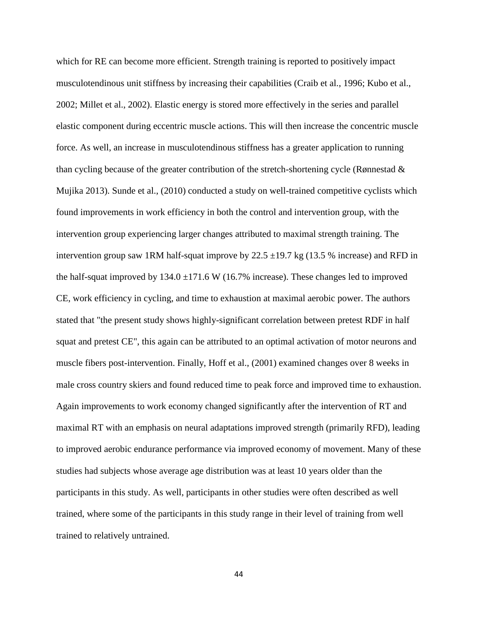which for RE can become more efficient. Strength training is reported to positively impact musculotendinous unit stiffness by increasing their capabilities (Craib et al., 1996; Kubo et al., 2002; Millet et al., 2002). Elastic energy is stored more effectively in the series and parallel elastic component during eccentric muscle actions. This will then increase the concentric muscle force. As well, an increase in musculotendinous stiffness has a greater application to running than cycling because of the greater contribution of the stretch-shortening cycle (Rønnestad & Mujika 2013). Sunde et al., (2010) conducted a study on well-trained competitive cyclists which found improvements in work efficiency in both the control and intervention group, with the intervention group experiencing larger changes attributed to maximal strength training. The intervention group saw 1RM half-squat improve by  $22.5 \pm 19.7$  kg (13.5 % increase) and RFD in the half-squat improved by  $134.0 \pm 171.6 \text{ W}$  (16.7% increase). These changes led to improved CE, work efficiency in cycling, and time to exhaustion at maximal aerobic power. The authors stated that "the present study shows highly-significant correlation between pretest RDF in half squat and pretest CE", this again can be attributed to an optimal activation of motor neurons and muscle fibers post-intervention. Finally, Hoff et al., (2001) examined changes over 8 weeks in male cross country skiers and found reduced time to peak force and improved time to exhaustion. Again improvements to work economy changed significantly after the intervention of RT and maximal RT with an emphasis on neural adaptations improved strength (primarily RFD), leading to improved aerobic endurance performance via improved economy of movement. Many of these studies had subjects whose average age distribution was at least 10 years older than the participants in this study. As well, participants in other studies were often described as well trained, where some of the participants in this study range in their level of training from well trained to relatively untrained.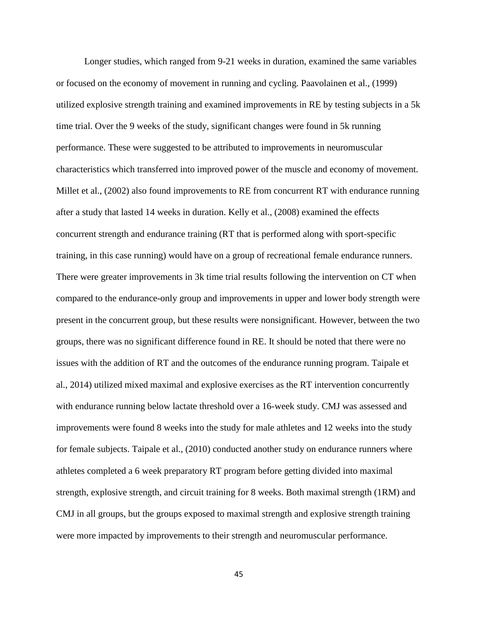Longer studies, which ranged from 9-21 weeks in duration, examined the same variables or focused on the economy of movement in running and cycling. Paavolainen et al., (1999) utilized explosive strength training and examined improvements in RE by testing subjects in a 5k time trial. Over the 9 weeks of the study, significant changes were found in 5k running performance. These were suggested to be attributed to improvements in neuromuscular characteristics which transferred into improved power of the muscle and economy of movement. Millet et al., (2002) also found improvements to RE from concurrent RT with endurance running after a study that lasted 14 weeks in duration. Kelly et al., (2008) examined the effects concurrent strength and endurance training (RT that is performed along with sport-specific training, in this case running) would have on a group of recreational female endurance runners. There were greater improvements in 3k time trial results following the intervention on CT when compared to the endurance-only group and improvements in upper and lower body strength were present in the concurrent group, but these results were nonsignificant. However, between the two groups, there was no significant difference found in RE. It should be noted that there were no issues with the addition of RT and the outcomes of the endurance running program. Taipale et al., 2014) utilized mixed maximal and explosive exercises as the RT intervention concurrently with endurance running below lactate threshold over a 16-week study. CMJ was assessed and improvements were found 8 weeks into the study for male athletes and 12 weeks into the study for female subjects. Taipale et al., (2010) conducted another study on endurance runners where athletes completed a 6 week preparatory RT program before getting divided into maximal strength, explosive strength, and circuit training for 8 weeks. Both maximal strength (1RM) and CMJ in all groups, but the groups exposed to maximal strength and explosive strength training were more impacted by improvements to their strength and neuromuscular performance.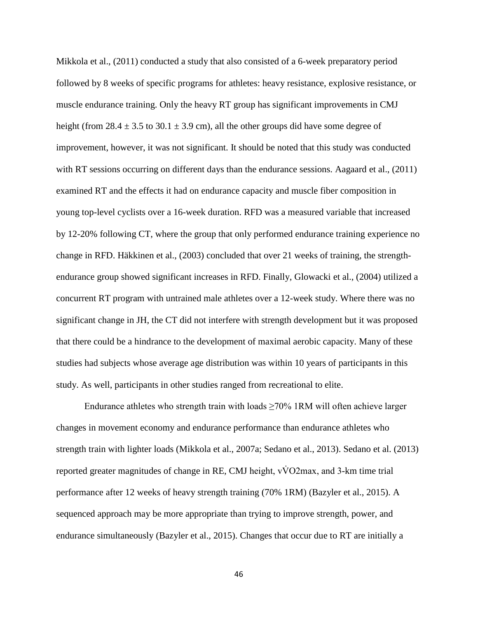Mikkola et al., (2011) conducted a study that also consisted of a 6-week preparatory period followed by 8 weeks of specific programs for athletes: heavy resistance, explosive resistance, or muscle endurance training. Only the heavy RT group has significant improvements in CMJ height (from 28.4  $\pm$  3.5 to 30.1  $\pm$  3.9 cm), all the other groups did have some degree of improvement, however, it was not significant. It should be noted that this study was conducted with RT sessions occurring on different days than the endurance sessions. Aagaard et al., (2011) examined RT and the effects it had on endurance capacity and muscle fiber composition in young top-level cyclists over a 16-week duration. RFD was a measured variable that increased by 12-20% following CT, where the group that only performed endurance training experience no change in RFD. Häkkinen et al., (2003) concluded that over 21 weeks of training, the strengthendurance group showed significant increases in RFD. Finally, Glowacki et al., (2004) utilized a concurrent RT program with untrained male athletes over a 12-week study. Where there was no significant change in JH, the CT did not interfere with strength development but it was proposed that there could be a hindrance to the development of maximal aerobic capacity. Many of these studies had subjects whose average age distribution was within 10 years of participants in this study. As well, participants in other studies ranged from recreational to elite.

Endurance athletes who strength train with loads  $\geq 70\%$  1RM will often achieve larger changes in movement economy and endurance performance than endurance athletes who strength train with lighter loads (Mikkola et al., 2007a; Sedano et al., 2013). Sedano et al. (2013) reported greater magnitudes of change in RE, CMJ height, vV̇ O2max, and 3-km time trial performance after 12 weeks of heavy strength training (70% 1RM) (Bazyler et al., 2015). A sequenced approach may be more appropriate than trying to improve strength, power, and endurance simultaneously (Bazyler et al., 2015). Changes that occur due to RT are initially a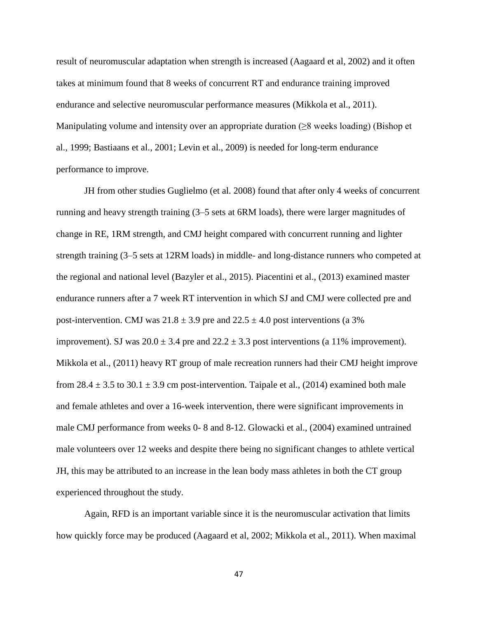result of neuromuscular adaptation when strength is increased (Aagaard et al, 2002) and it often takes at minimum found that 8 weeks of concurrent RT and endurance training improved endurance and selective neuromuscular performance measures (Mikkola et al., 2011). Manipulating volume and intensity over an appropriate duration ( $\geq 8$  weeks loading) (Bishop et al., 1999; Bastiaans et al., 2001; Levin et al., 2009) is needed for long-term endurance performance to improve.

JH from other studies Guglielmo (et al. 2008) found that after only 4 weeks of concurrent running and heavy strength training (3–5 sets at 6RM loads), there were larger magnitudes of change in RE, 1RM strength, and CMJ height compared with concurrent running and lighter strength training (3–5 sets at 12RM loads) in middle- and long-distance runners who competed at the regional and national level (Bazyler et al., 2015). Piacentini et al., (2013) examined master endurance runners after a 7 week RT intervention in which SJ and CMJ were collected pre and post-intervention. CMJ was  $21.8 \pm 3.9$  pre and  $22.5 \pm 4.0$  post interventions (a 3%) improvement). SJ was  $20.0 \pm 3.4$  pre and  $22.2 \pm 3.3$  post interventions (a 11% improvement). Mikkola et al., (2011) heavy RT group of male recreation runners had their CMJ height improve from 28.4  $\pm$  3.5 to 30.1  $\pm$  3.9 cm post-intervention. Taipale et al., (2014) examined both male and female athletes and over a 16-week intervention, there were significant improvements in male CMJ performance from weeks 0- 8 and 8-12. Glowacki et al., (2004) examined untrained male volunteers over 12 weeks and despite there being no significant changes to athlete vertical JH, this may be attributed to an increase in the lean body mass athletes in both the CT group experienced throughout the study.

Again, RFD is an important variable since it is the neuromuscular activation that limits how quickly force may be produced (Aagaard et al, 2002; Mikkola et al., 2011). When maximal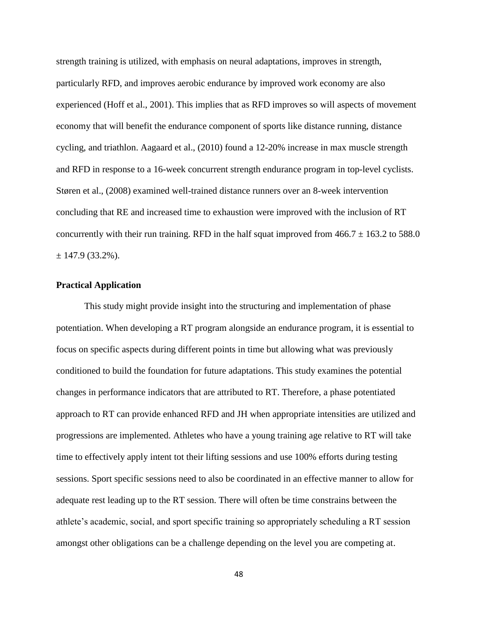strength training is utilized, with emphasis on neural adaptations, improves in strength, particularly RFD, and improves aerobic endurance by improved work economy are also experienced (Hoff et al., 2001). This implies that as RFD improves so will aspects of movement economy that will benefit the endurance component of sports like distance running, distance cycling, and triathlon. Aagaard et al., (2010) found a 12-20% increase in max muscle strength and RFD in response to a 16-week concurrent strength endurance program in top-level cyclists. Støren et al., (2008) examined well-trained distance runners over an 8-week intervention concluding that RE and increased time to exhaustion were improved with the inclusion of RT concurrently with their run training. RFD in the half squat improved from  $466.7 \pm 163.2$  to 588.0  $\pm$  147.9 (33.2%).

### <span id="page-48-0"></span>**Practical Application**

This study might provide insight into the structuring and implementation of phase potentiation. When developing a RT program alongside an endurance program, it is essential to focus on specific aspects during different points in time but allowing what was previously conditioned to build the foundation for future adaptations. This study examines the potential changes in performance indicators that are attributed to RT. Therefore, a phase potentiated approach to RT can provide enhanced RFD and JH when appropriate intensities are utilized and progressions are implemented. Athletes who have a young training age relative to RT will take time to effectively apply intent tot their lifting sessions and use 100% efforts during testing sessions. Sport specific sessions need to also be coordinated in an effective manner to allow for adequate rest leading up to the RT session. There will often be time constrains between the athlete's academic, social, and sport specific training so appropriately scheduling a RT session amongst other obligations can be a challenge depending on the level you are competing at.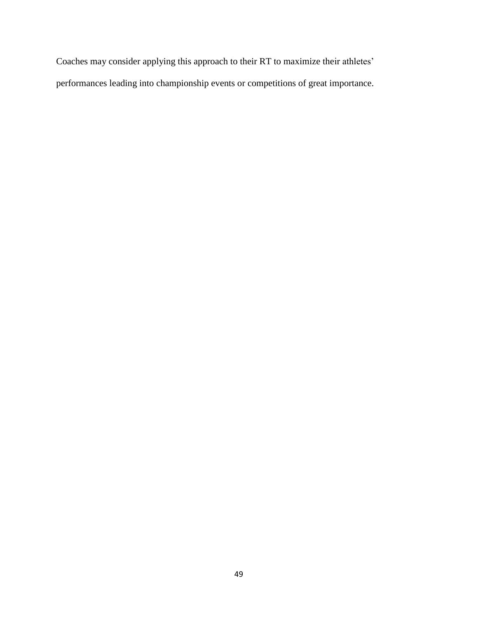Coaches may consider applying this approach to their RT to maximize their athletes' performances leading into championship events or competitions of great importance.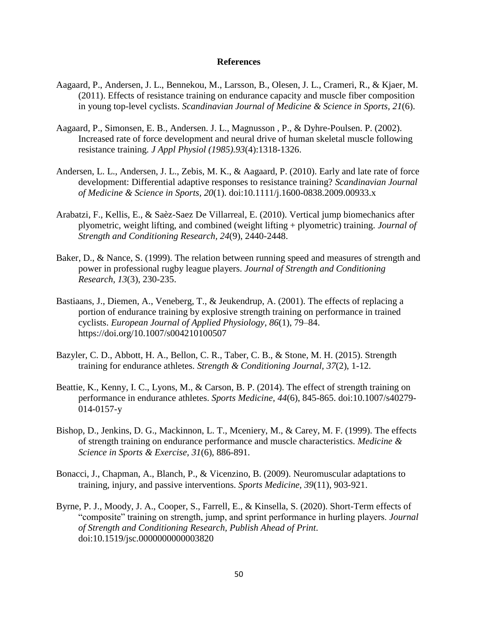#### **References**

- <span id="page-50-0"></span>Aagaard, P., Andersen, J. L., Bennekou, M., Larsson, B., Olesen, J. L., Crameri, R., & Kjaer, M. (2011). Effects of resistance training on endurance capacity and muscle fiber composition in young top-level cyclists. *Scandinavian Journal of Medicine & Science in Sports, 21*(6).
- Aagaard, P., Simonsen, E. B., Andersen. J. L., Magnusson , P., & Dyhre-Poulsen. P. (2002). Increased rate of force development and neural drive of human skeletal muscle following resistance training. *J Appl Physiol (1985).93*(4):1318-1326.
- Andersen, L. L., Andersen, J. L., Zebis, M. K., & Aagaard, P. (2010). Early and late rate of force development: Differential adaptive responses to resistance training? *Scandinavian Journal of Medicine & Science in Sports, 20*(1). doi:10.1111/j.1600-0838.2009.00933.x
- Arabatzi, F., Kellis, E., & Saèz-Saez De Villarreal, E. (2010). Vertical jump biomechanics after plyometric, weight lifting, and combined (weight lifting + plyometric) training. *Journal of Strength and Conditioning Research, 24*(9), 2440-2448.
- Baker, D., & Nance, S. (1999). The relation between running speed and measures of strength and power in professional rugby league players. *Journal of Strength and Conditioning Research, 13*(3), 230-235.
- Bastiaans, J., Diemen, A., Veneberg, T., & Jeukendrup, A. (2001). The effects of replacing a portion of endurance training by explosive strength training on performance in trained cyclists. *European Journal of Applied Physiology*, *86*(1), 79–84. https://doi.org/10.1007/s004210100507
- Bazyler, C. D., Abbott, H. A., Bellon, C. R., Taber, C. B., & Stone, M. H. (2015). Strength training for endurance athletes. *Strength & Conditioning Journal, 37*(2), 1-12.
- Beattie, K., Kenny, I. C., Lyons, M., & Carson, B. P. (2014). The effect of strength training on performance in endurance athletes. *Sports Medicine, 44*(6), 845-865. doi:10.1007/s40279- 014-0157-y
- Bishop, D., Jenkins, D. G., Mackinnon, L. T., Mceniery, M., & Carey, M. F. (1999). The effects of strength training on endurance performance and muscle characteristics. *Medicine & Science in Sports & Exercise, 31*(6), 886-891.
- Bonacci, J., Chapman, A., Blanch, P., & Vicenzino, B. (2009). Neuromuscular adaptations to training, injury, and passive interventions. *Sports Medicine, 39*(11), 903-921.
- Byrne, P. J., Moody, J. A., Cooper, S., Farrell, E., & Kinsella, S. (2020). Short-Term effects of "composite" training on strength, jump, and sprint performance in hurling players. *Journal of Strength and Conditioning Research, Publish Ahead of Print*. doi:10.1519/jsc.0000000000003820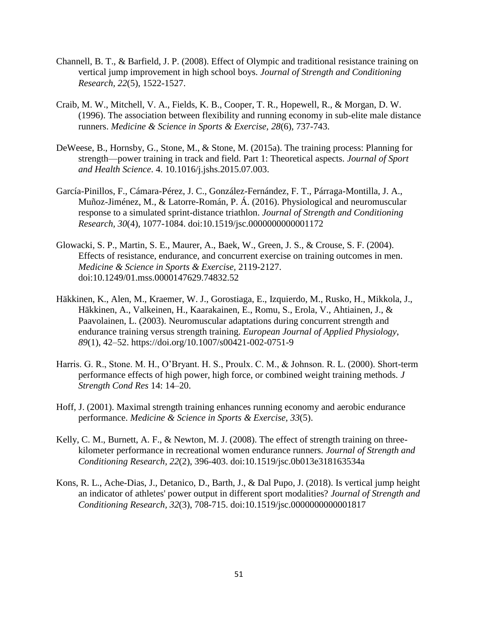- Channell, B. T., & Barfield, J. P. (2008). Effect of Olympic and traditional resistance training on vertical jump improvement in high school boys. *Journal of Strength and Conditioning Research, 22*(5), 1522-1527.
- Craib, M. W., Mitchell, V. A., Fields, K. B., Cooper, T. R., Hopewell, R., & Morgan, D. W. (1996). The association between flexibility and running economy in sub-elite male distance runners. *Medicine & Science in Sports & Exercise, 28*(6), 737-743.
- DeWeese, B., Hornsby, G., Stone, M., & Stone, M. (2015a). The training process: Planning for strength—power training in track and field. Part 1: Theoretical aspects. *Journal of Sport and Health Science*. 4. 10.1016/j.jshs.2015.07.003.
- García-Pinillos, F., Cámara-Pérez, J. C., González-Fernández, F. T., Párraga-Montilla, J. A., Muñoz-Jiménez, M., & Latorre-Román, P. Á. (2016). Physiological and neuromuscular response to a simulated sprint-distance triathlon. *Journal of Strength and Conditioning Research, 30*(4), 1077-1084. doi:10.1519/jsc.0000000000001172
- Glowacki, S. P., Martin, S. E., Maurer, A., Baek, W., Green, J. S., & Crouse, S. F. (2004). Effects of resistance, endurance, and concurrent exercise on training outcomes in men. *Medicine & Science in Sports & Exercise,* 2119-2127. doi:10.1249/01.mss.0000147629.74832.52
- Häkkinen, K., Alen, M., Kraemer, W. J., Gorostiaga, E., Izquierdo, M., Rusko, H., Mikkola, J., Häkkinen, A., Valkeinen, H., Kaarakainen, E., Romu, S., Erola, V., Ahtiainen, J., & Paavolainen, L. (2003). Neuromuscular adaptations during concurrent strength and endurance training versus strength training. *European Journal of Applied Physiology*, *89*(1), 42–52. https://doi.org/10.1007/s00421-002-0751-9
- Harris. G. R., Stone. M. H., O'Bryant. H. S., Proulx. C. M., & Johnson. R. L. (2000). Short-term performance effects of high power, high force, or combined weight training methods. *J Strength Cond Res* 14: 14–20.
- Hoff, J. (2001). Maximal strength training enhances running economy and aerobic endurance performance. *Medicine & Science in Sports & Exercise, 33*(5).
- Kelly, C. M., Burnett, A. F., & Newton, M. J. (2008). The effect of strength training on threekilometer performance in recreational women endurance runners. *Journal of Strength and Conditioning Research, 22*(2), 396-403. doi:10.1519/jsc.0b013e318163534a
- Kons, R. L., Ache-Dias, J., Detanico, D., Barth, J., & Dal Pupo, J. (2018). Is vertical jump height an indicator of athletes' power output in different sport modalities? *Journal of Strength and Conditioning Research, 32*(3), 708-715. doi:10.1519/jsc.0000000000001817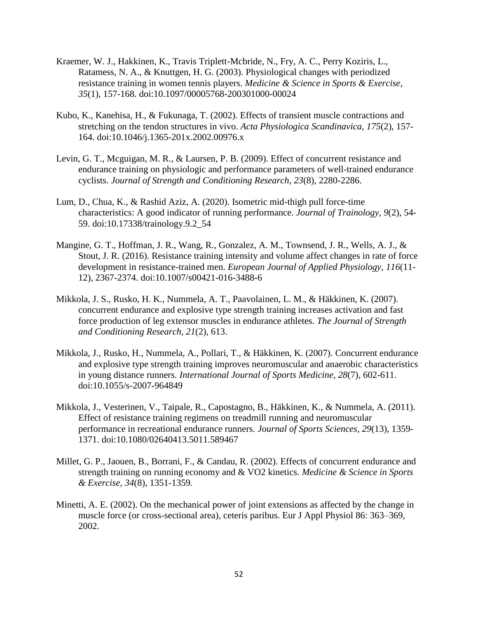- Kraemer, W. J., Hakkinen, K., Travis Triplett-Mcbride, N., Fry, A. C., Perry Koziris, L., Ratamess, N. A., & Knuttgen, H. G. (2003). Physiological changes with periodized resistance training in women tennis players. *Medicine & Science in Sports & Exercise, 35*(1), 157-168. doi:10.1097/00005768-200301000-00024
- Kubo, K., Kanehisa, H., & Fukunaga, T. (2002). Effects of transient muscle contractions and stretching on the tendon structures in vivo. *Acta Physiologica Scandinavica, 175*(2), 157- 164. doi:10.1046/j.1365-201x.2002.00976.x
- Levin, G. T., Mcguigan, M. R., & Laursen, P. B. (2009). Effect of concurrent resistance and endurance training on physiologic and performance parameters of well-trained endurance cyclists. *Journal of Strength and Conditioning Research, 23*(8), 2280-2286.
- Lum, D., Chua, K., & Rashid Aziz, A. (2020). Isometric mid-thigh pull force-time characteristics: A good indicator of running performance. *Journal of Trainology, 9*(2), 54- 59. doi:10.17338/trainology.9.2\_54
- Mangine, G. T., Hoffman, J. R., Wang, R., Gonzalez, A. M., Townsend, J. R., Wells, A. J., & Stout, J. R. (2016). Resistance training intensity and volume affect changes in rate of force development in resistance-trained men. *European Journal of Applied Physiology, 116*(11- 12), 2367-2374. doi:10.1007/s00421-016-3488-6
- Mikkola, J. S., Rusko, H. K., Nummela, A. T., Paavolainen, L. M., & Häkkinen, K. (2007). concurrent endurance and explosive type strength training increases activation and fast force production of leg extensor muscles in endurance athletes. *The Journal of Strength and Conditioning Research, 21*(2), 613.
- Mikkola, J., Rusko, H., Nummela, A., Pollari, T., & Häkkinen, K. (2007). Concurrent endurance and explosive type strength training improves neuromuscular and anaerobic characteristics in young distance runners. *International Journal of Sports Medicine, 28*(7), 602-611. doi:10.1055/s-2007-964849
- Mikkola, J., Vesterinen, V., Taipale, R., Capostagno, B., Häkkinen, K., & Nummela, A. (2011). Effect of resistance training regimens on treadmill running and neuromuscular performance in recreational endurance runners. *Journal of Sports Sciences, 29*(13), 1359- 1371. doi:10.1080/02640413.5011.589467
- Millet, G. P., Jaouen, B., Borrani, F., & Candau, R. (2002). Effects of concurrent endurance and strength training on running economy and & VO2 kinetics. *Medicine & Science in Sports & Exercise, 34*(8), 1351-1359.
- Minetti, A. E. (2002). On the mechanical power of joint extensions as affected by the change in muscle force (or cross-sectional area), ceteris paribus. Eur J Appl Physiol 86: 363–369, 2002.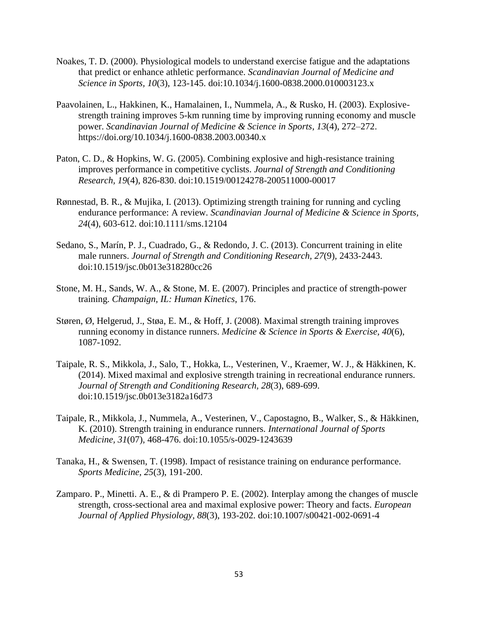- Noakes, T. D. (2000). Physiological models to understand exercise fatigue and the adaptations that predict or enhance athletic performance. *Scandinavian Journal of Medicine and Science in Sports, 10*(3), 123-145. doi:10.1034/j.1600-0838.2000.010003123.x
- Paavolainen, L., Hakkinen, K., Hamalainen, I., Nummela, A., & Rusko, H. (2003). Explosivestrength training improves 5-km running time by improving running economy and muscle power. *Scandinavian Journal of Medicine & Science in Sports*, *13*(4), 272–272. https://doi.org/10.1034/j.1600-0838.2003.00340.x
- Paton, C. D., & Hopkins, W. G. (2005). Combining explosive and high-resistance training improves performance in competitive cyclists. *Journal of Strength and Conditioning Research, 19*(4), 826-830. doi:10.1519/00124278-200511000-00017
- Rønnestad, B. R., & Mujika, I. (2013). Optimizing strength training for running and cycling endurance performance: A review. *Scandinavian Journal of Medicine & Science in Sports, 24*(4), 603-612. doi:10.1111/sms.12104
- Sedano, S., Marín, P. J., Cuadrado, G., & Redondo, J. C. (2013). Concurrent training in elite male runners. *Journal of Strength and Conditioning Research, 27*(9), 2433-2443. doi:10.1519/jsc.0b013e318280cc26
- Stone, M. H., Sands, W. A., & Stone, M. E. (2007). Principles and practice of strength-power training. *Champaign, IL: Human Kinetics*, 176.
- Støren, Ø, Helgerud, J., Støa, E. M., & Hoff, J. (2008). Maximal strength training improves running economy in distance runners. *Medicine & Science in Sports & Exercise, 40*(6), 1087-1092.
- Taipale, R. S., Mikkola, J., Salo, T., Hokka, L., Vesterinen, V., Kraemer, W. J., & Häkkinen, K. (2014). Mixed maximal and explosive strength training in recreational endurance runners. *Journal of Strength and Conditioning Research, 28*(3), 689-699. doi:10.1519/jsc.0b013e3182a16d73
- Taipale, R., Mikkola, J., Nummela, A., Vesterinen, V., Capostagno, B., Walker, S., & Häkkinen, K. (2010). Strength training in endurance runners. *International Journal of Sports Medicine, 31*(07), 468-476. doi:10.1055/s-0029-1243639
- Tanaka, H., & Swensen, T. (1998). Impact of resistance training on endurance performance. *Sports Medicine, 25*(3), 191-200.
- Zamparo. P., Minetti. A. E., & di Prampero P. E. (2002). Interplay among the changes of muscle strength, cross-sectional area and maximal explosive power: Theory and facts. *European Journal of Applied Physiology, 88*(3), 193-202. doi:10.1007/s00421-002-0691-4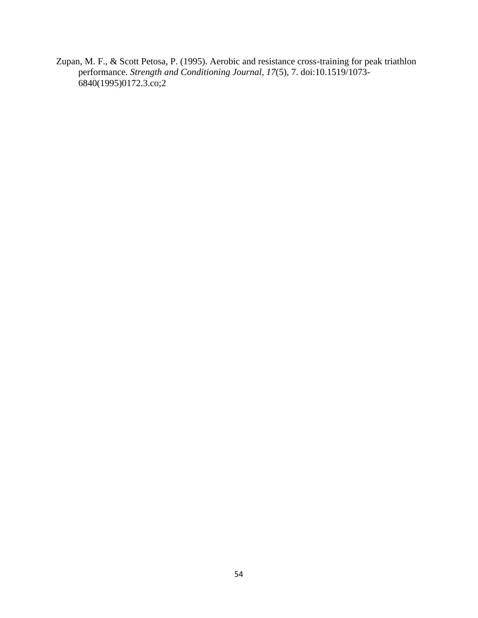Zupan, M. F., & Scott Petosa, P. (1995). Aerobic and resistance cross-training for peak triathlon performance. *Strength and Conditioning Journal, 17*(5), 7. doi:10.1519/1073-  $6840(1995)0172.3.\text{co};2$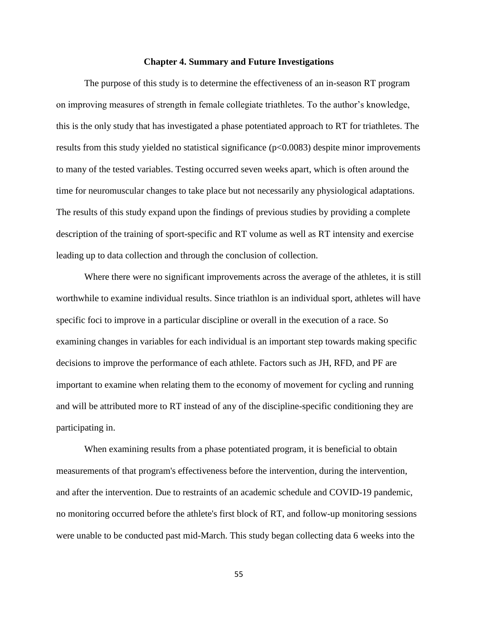#### **Chapter 4. Summary and Future Investigations**

<span id="page-55-0"></span>The purpose of this study is to determine the effectiveness of an in-season RT program on improving measures of strength in female collegiate triathletes. To the author's knowledge, this is the only study that has investigated a phase potentiated approach to RT for triathletes. The results from this study yielded no statistical significance (p<0.0083) despite minor improvements to many of the tested variables. Testing occurred seven weeks apart, which is often around the time for neuromuscular changes to take place but not necessarily any physiological adaptations. The results of this study expand upon the findings of previous studies by providing a complete description of the training of sport-specific and RT volume as well as RT intensity and exercise leading up to data collection and through the conclusion of collection.

Where there were no significant improvements across the average of the athletes, it is still worthwhile to examine individual results. Since triathlon is an individual sport, athletes will have specific foci to improve in a particular discipline or overall in the execution of a race. So examining changes in variables for each individual is an important step towards making specific decisions to improve the performance of each athlete. Factors such as JH, RFD, and PF are important to examine when relating them to the economy of movement for cycling and running and will be attributed more to RT instead of any of the discipline-specific conditioning they are participating in.

When examining results from a phase potentiated program, it is beneficial to obtain measurements of that program's effectiveness before the intervention, during the intervention, and after the intervention. Due to restraints of an academic schedule and COVID-19 pandemic, no monitoring occurred before the athlete's first block of RT, and follow-up monitoring sessions were unable to be conducted past mid-March. This study began collecting data 6 weeks into the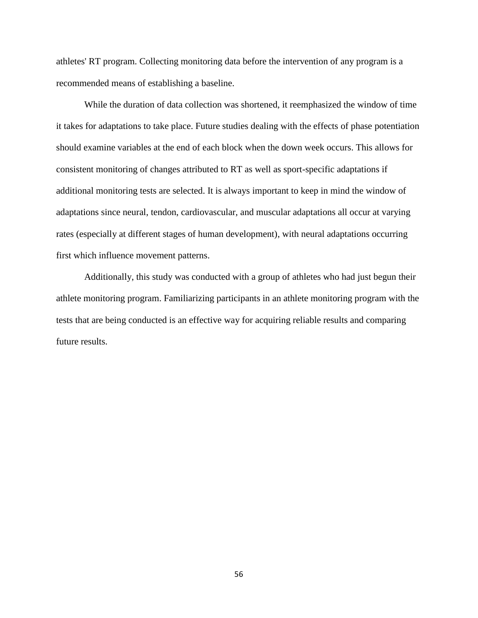athletes' RT program. Collecting monitoring data before the intervention of any program is a recommended means of establishing a baseline.

While the duration of data collection was shortened, it reemphasized the window of time it takes for adaptations to take place. Future studies dealing with the effects of phase potentiation should examine variables at the end of each block when the down week occurs. This allows for consistent monitoring of changes attributed to RT as well as sport-specific adaptations if additional monitoring tests are selected. It is always important to keep in mind the window of adaptations since neural, tendon, cardiovascular, and muscular adaptations all occur at varying rates (especially at different stages of human development), with neural adaptations occurring first which influence movement patterns.

Additionally, this study was conducted with a group of athletes who had just begun their athlete monitoring program. Familiarizing participants in an athlete monitoring program with the tests that are being conducted is an effective way for acquiring reliable results and comparing future results.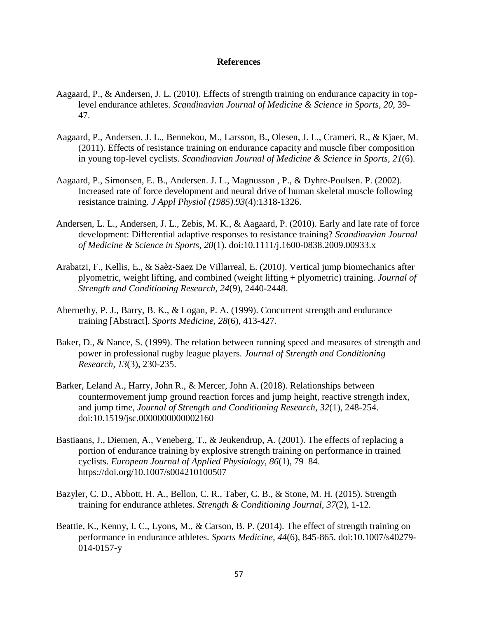#### **References**

- <span id="page-57-0"></span>Aagaard, P., & Andersen, J. L. (2010). Effects of strength training on endurance capacity in toplevel endurance athletes. *Scandinavian Journal of Medicine & Science in Sports, 20*, 39- 47.
- Aagaard, P., Andersen, J. L., Bennekou, M., Larsson, B., Olesen, J. L., Crameri, R., & Kjaer, M. (2011). Effects of resistance training on endurance capacity and muscle fiber composition in young top-level cyclists. *Scandinavian Journal of Medicine & Science in Sports, 21*(6).
- Aagaard, P., Simonsen, E. B., Andersen. J. L., Magnusson , P., & Dyhre-Poulsen. P. (2002). Increased rate of force development and neural drive of human skeletal muscle following resistance training. *J Appl Physiol (1985).93*(4):1318-1326.
- Andersen, L. L., Andersen, J. L., Zebis, M. K., & Aagaard, P. (2010). Early and late rate of force development: Differential adaptive responses to resistance training? *Scandinavian Journal of Medicine & Science in Sports, 20*(1). doi:10.1111/j.1600-0838.2009.00933.x
- Arabatzi, F., Kellis, E., & Saèz-Saez De Villarreal, E. (2010). Vertical jump biomechanics after plyometric, weight lifting, and combined (weight lifting + plyometric) training. *Journal of Strength and Conditioning Research, 24*(9), 2440-2448.
- Abernethy, P. J., Barry, B. K., & Logan, P. A. (1999). Concurrent strength and endurance training [Abstract]. *Sports Medicine, 28*(6), 413-427.
- Baker, D., & Nance, S. (1999). The relation between running speed and measures of strength and power in professional rugby league players. *Journal of Strength and Conditioning Research, 13*(3), 230-235.
- Barker, Leland A., Harry, John R., & Mercer, John A. (2018). Relationships between countermovement jump ground reaction forces and jump height, reactive strength index, and jump time, *Journal of Strength and Conditioning Research, 32*(1), 248-254. doi:10.1519/jsc.0000000000002160
- Bastiaans, J., Diemen, A., Veneberg, T., & Jeukendrup, A. (2001). The effects of replacing a portion of endurance training by explosive strength training on performance in trained cyclists. *European Journal of Applied Physiology*, *86*(1), 79–84. https://doi.org/10.1007/s004210100507
- Bazyler, C. D., Abbott, H. A., Bellon, C. R., Taber, C. B., & Stone, M. H. (2015). Strength training for endurance athletes. *Strength & Conditioning Journal, 37*(2), 1-12.
- Beattie, K., Kenny, I. C., Lyons, M., & Carson, B. P. (2014). The effect of strength training on performance in endurance athletes. *Sports Medicine, 44*(6), 845-865. doi:10.1007/s40279- 014-0157-y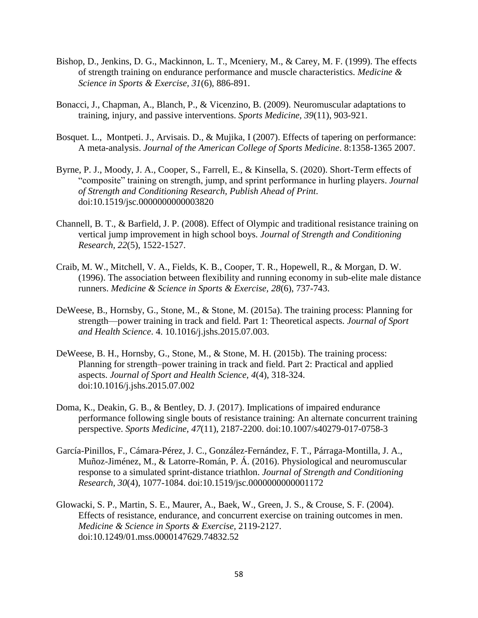- Bishop, D., Jenkins, D. G., Mackinnon, L. T., Mceniery, M., & Carey, M. F. (1999). The effects of strength training on endurance performance and muscle characteristics. *Medicine & Science in Sports & Exercise, 31*(6), 886-891.
- Bonacci, J., Chapman, A., Blanch, P., & Vicenzino, B. (2009). Neuromuscular adaptations to training, injury, and passive interventions. *Sports Medicine, 39*(11), 903-921.
- Bosquet. L., Montpeti. J., Arvisais. D., & Mujika, I (2007). Effects of tapering on performance: A meta-analysis. *Journal of the American College of Sports Medicine*. 8:1358-1365 2007.
- Byrne, P. J., Moody, J. A., Cooper, S., Farrell, E., & Kinsella, S. (2020). Short-Term effects of "composite" training on strength, jump, and sprint performance in hurling players. *Journal of Strength and Conditioning Research, Publish Ahead of Print*. doi:10.1519/jsc.0000000000003820
- Channell, B. T., & Barfield, J. P. (2008). Effect of Olympic and traditional resistance training on vertical jump improvement in high school boys. *Journal of Strength and Conditioning Research, 22*(5), 1522-1527.
- Craib, M. W., Mitchell, V. A., Fields, K. B., Cooper, T. R., Hopewell, R., & Morgan, D. W. (1996). The association between flexibility and running economy in sub-elite male distance runners. *Medicine & Science in Sports & Exercise, 28*(6), 737-743.
- DeWeese, B., Hornsby, G., Stone, M., & Stone, M. (2015a). The training process: Planning for strength—power training in track and field. Part 1: Theoretical aspects. *Journal of Sport and Health Science*. 4. 10.1016/j.jshs.2015.07.003.
- DeWeese, B. H., Hornsby, G., Stone, M., & Stone, M. H. (2015b). The training process: Planning for strength–power training in track and field. Part 2: Practical and applied aspects. *Journal of Sport and Health Science, 4*(4), 318-324. doi:10.1016/j.jshs.2015.07.002
- Doma, K., Deakin, G. B., & Bentley, D. J. (2017). Implications of impaired endurance performance following single bouts of resistance training: An alternate concurrent training perspective. *Sports Medicine, 47*(11), 2187-2200. doi:10.1007/s40279-017-0758-3
- García-Pinillos, F., Cámara-Pérez, J. C., González-Fernández, F. T., Párraga-Montilla, J. A., Muñoz-Jiménez, M., & Latorre-Román, P. Á. (2016). Physiological and neuromuscular response to a simulated sprint-distance triathlon. *Journal of Strength and Conditioning Research, 30*(4), 1077-1084. doi:10.1519/jsc.0000000000001172
- Glowacki, S. P., Martin, S. E., Maurer, A., Baek, W., Green, J. S., & Crouse, S. F. (2004). Effects of resistance, endurance, and concurrent exercise on training outcomes in men. *Medicine & Science in Sports & Exercise,* 2119-2127. doi:10.1249/01.mss.0000147629.74832.52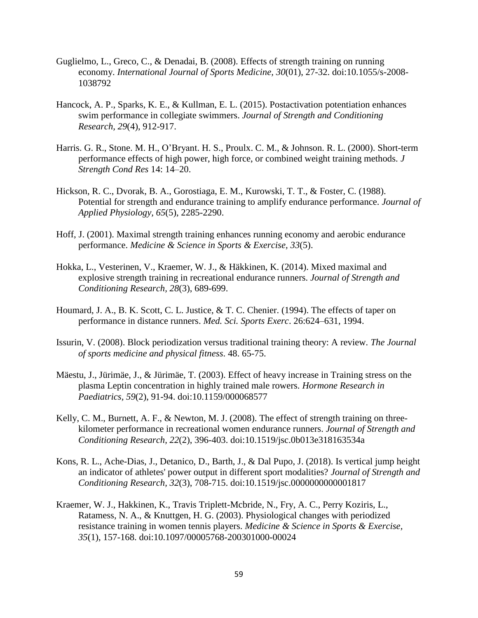- Guglielmo, L., Greco, C., & Denadai, B. (2008). Effects of strength training on running economy. *International Journal of Sports Medicine, 30*(01), 27-32. doi:10.1055/s-2008- 1038792
- Hancock, A. P., Sparks, K. E., & Kullman, E. L. (2015). Postactivation potentiation enhances swim performance in collegiate swimmers. *Journal of Strength and Conditioning Research, 29*(4), 912-917.
- Harris. G. R., Stone. M. H., O'Bryant. H. S., Proulx. C. M., & Johnson. R. L. (2000). Short-term performance effects of high power, high force, or combined weight training methods. *J Strength Cond Res* 14: 14–20.
- Hickson, R. C., Dvorak, B. A., Gorostiaga, E. M., Kurowski, T. T., & Foster, C. (1988). Potential for strength and endurance training to amplify endurance performance. *Journal of Applied Physiology, 65*(5), 2285-2290.
- Hoff, J. (2001). Maximal strength training enhances running economy and aerobic endurance performance. *Medicine & Science in Sports & Exercise, 33*(5).
- Hokka, L., Vesterinen, V., Kraemer, W. J., & Häkkinen, K. (2014). Mixed maximal and explosive strength training in recreational endurance runners. *Journal of Strength and Conditioning Research, 28*(3), 689-699.
- Houmard, J. A., B. K. Scott, C. L. Justice, & T. C. Chenier. (1994). The effects of taper on performance in distance runners. *Med. Sci. Sports Exerc*. 26:624–631, 1994.
- Issurin, V. (2008). Block periodization versus traditional training theory: A review*. The Journal of sports medicine and physical fitness*. 48. 65-75.
- Mäestu, J., Jürimäe, J., & Jürimäe, T. (2003). Effect of heavy increase in Training stress on the plasma Leptin concentration in highly trained male rowers. *Hormone Research in Paediatrics, 59*(2), 91-94. doi:10.1159/000068577
- Kelly, C. M., Burnett, A. F., & Newton, M. J. (2008). The effect of strength training on threekilometer performance in recreational women endurance runners. *Journal of Strength and Conditioning Research, 22*(2), 396-403. doi:10.1519/jsc.0b013e318163534a
- Kons, R. L., Ache-Dias, J., Detanico, D., Barth, J., & Dal Pupo, J. (2018). Is vertical jump height an indicator of athletes' power output in different sport modalities? *Journal of Strength and Conditioning Research, 32*(3), 708-715. doi:10.1519/jsc.0000000000001817
- Kraemer, W. J., Hakkinen, K., Travis Triplett-Mcbride, N., Fry, A. C., Perry Koziris, L., Ratamess, N. A., & Knuttgen, H. G. (2003). Physiological changes with periodized resistance training in women tennis players. *Medicine & Science in Sports & Exercise, 35*(1), 157-168. doi:10.1097/00005768-200301000-00024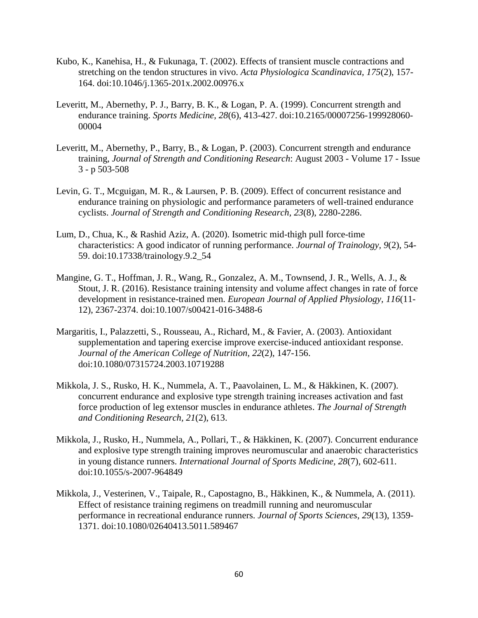- Kubo, K., Kanehisa, H., & Fukunaga, T. (2002). Effects of transient muscle contractions and stretching on the tendon structures in vivo. *Acta Physiologica Scandinavica, 175*(2), 157- 164. doi:10.1046/j.1365-201x.2002.00976.x
- Leveritt, M., Abernethy, P. J., Barry, B. K., & Logan, P. A. (1999). Concurrent strength and endurance training. *Sports Medicine, 28*(6), 413-427. doi:10.2165/00007256-199928060- 00004
- Leveritt, M., Abernethy, P., Barry, B., & Logan, P. (2003). Concurrent strength and endurance training, *Journal of Strength and Conditioning Research*: August 2003 - Volume 17 - Issue 3 - p 503-508
- Levin, G. T., Mcguigan, M. R., & Laursen, P. B. (2009). Effect of concurrent resistance and endurance training on physiologic and performance parameters of well-trained endurance cyclists. *Journal of Strength and Conditioning Research, 23*(8), 2280-2286.
- Lum, D., Chua, K., & Rashid Aziz, A. (2020). Isometric mid-thigh pull force-time characteristics: A good indicator of running performance. *Journal of Trainology, 9*(2), 54- 59. doi:10.17338/trainology.9.2\_54
- Mangine, G. T., Hoffman, J. R., Wang, R., Gonzalez, A. M., Townsend, J. R., Wells, A. J., & Stout, J. R. (2016). Resistance training intensity and volume affect changes in rate of force development in resistance-trained men. *European Journal of Applied Physiology, 116*(11- 12), 2367-2374. doi:10.1007/s00421-016-3488-6
- Margaritis, I., Palazzetti, S., Rousseau, A., Richard, M., & Favier, A. (2003). Antioxidant supplementation and tapering exercise improve exercise-induced antioxidant response. *Journal of the American College of Nutrition, 22*(2), 147-156. doi:10.1080/07315724.2003.10719288
- Mikkola, J. S., Rusko, H. K., Nummela, A. T., Paavolainen, L. M., & Häkkinen, K. (2007). concurrent endurance and explosive type strength training increases activation and fast force production of leg extensor muscles in endurance athletes. *The Journal of Strength and Conditioning Research, 21*(2), 613.
- Mikkola, J., Rusko, H., Nummela, A., Pollari, T., & Häkkinen, K. (2007). Concurrent endurance and explosive type strength training improves neuromuscular and anaerobic characteristics in young distance runners. *International Journal of Sports Medicine, 28*(7), 602-611. doi:10.1055/s-2007-964849
- Mikkola, J., Vesterinen, V., Taipale, R., Capostagno, B., Häkkinen, K., & Nummela, A. (2011). Effect of resistance training regimens on treadmill running and neuromuscular performance in recreational endurance runners. *Journal of Sports Sciences, 29*(13), 1359- 1371. doi:10.1080/02640413.5011.589467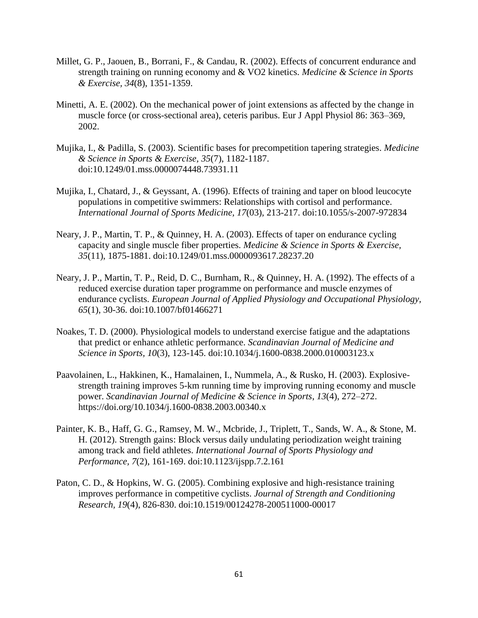- Millet, G. P., Jaouen, B., Borrani, F., & Candau, R. (2002). Effects of concurrent endurance and strength training on running economy and & VO2 kinetics. *Medicine & Science in Sports & Exercise, 34*(8), 1351-1359.
- Minetti, A. E. (2002). On the mechanical power of joint extensions as affected by the change in muscle force (or cross-sectional area), ceteris paribus. Eur J Appl Physiol 86: 363–369, 2002.
- Mujika, I., & Padilla, S. (2003). Scientific bases for precompetition tapering strategies. *Medicine & Science in Sports & Exercise, 35*(7), 1182-1187. doi:10.1249/01.mss.0000074448.73931.11
- Mujika, I., Chatard, J., & Geyssant, A. (1996). Effects of training and taper on blood leucocyte populations in competitive swimmers: Relationships with cortisol and performance. *International Journal of Sports Medicine, 17*(03), 213-217. doi:10.1055/s-2007-972834
- Neary, J. P., Martin, T. P., & Quinney, H. A. (2003). Effects of taper on endurance cycling capacity and single muscle fiber properties. *Medicine & Science in Sports & Exercise, 35*(11), 1875-1881. doi:10.1249/01.mss.0000093617.28237.20
- Neary, J. P., Martin, T. P., Reid, D. C., Burnham, R., & Quinney, H. A. (1992). The effects of a reduced exercise duration taper programme on performance and muscle enzymes of endurance cyclists. *European Journal of Applied Physiology and Occupational Physiology, 65*(1), 30-36. doi:10.1007/bf01466271
- Noakes, T. D. (2000). Physiological models to understand exercise fatigue and the adaptations that predict or enhance athletic performance. *Scandinavian Journal of Medicine and Science in Sports, 10*(3), 123-145. doi:10.1034/j.1600-0838.2000.010003123.x
- Paavolainen, L., Hakkinen, K., Hamalainen, I., Nummela, A., & Rusko, H. (2003). Explosivestrength training improves 5-km running time by improving running economy and muscle power. *Scandinavian Journal of Medicine & Science in Sports*, *13*(4), 272–272. https://doi.org/10.1034/j.1600-0838.2003.00340.x
- Painter, K. B., Haff, G. G., Ramsey, M. W., Mcbride, J., Triplett, T., Sands, W. A., & Stone, M. H. (2012). Strength gains: Block versus daily undulating periodization weight training among track and field athletes. *International Journal of Sports Physiology and Performance, 7*(2), 161-169. doi:10.1123/ijspp.7.2.161
- Paton, C. D., & Hopkins, W. G. (2005). Combining explosive and high-resistance training improves performance in competitive cyclists. *Journal of Strength and Conditioning Research, 19*(4), 826-830. doi:10.1519/00124278-200511000-00017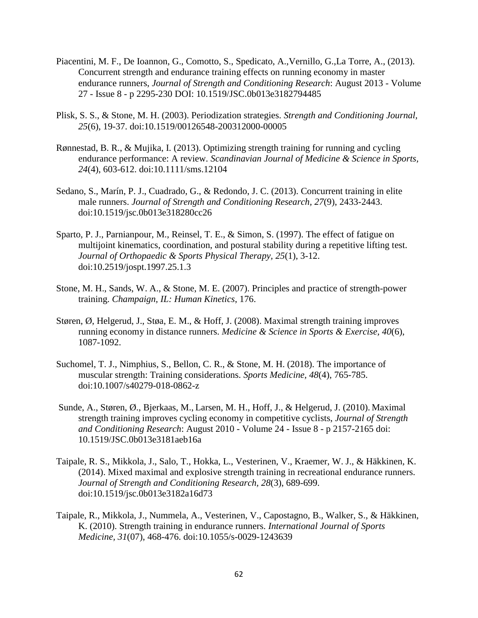- Piacentini, M. F., De Ioannon, G., Comotto, S., Spedicato, A.,Vernillo, G.,La Torre, A., (2013). Concurrent strength and endurance training effects on running economy in master endurance runners, *Journal of Strength and Conditioning Research*: August 2013 - Volume 27 - Issue 8 - p 2295-230 DOI: 10.1519/JSC.0b013e3182794485
- Plisk, S. S., & Stone, M. H. (2003). Periodization strategies. *Strength and Conditioning Journal, 25*(6), 19-37. doi:10.1519/00126548-200312000-00005
- Rønnestad, B. R., & Mujika, I. (2013). Optimizing strength training for running and cycling endurance performance: A review. *Scandinavian Journal of Medicine & Science in Sports, 24*(4), 603-612. doi:10.1111/sms.12104
- Sedano, S., Marín, P. J., Cuadrado, G., & Redondo, J. C. (2013). Concurrent training in elite male runners. *Journal of Strength and Conditioning Research, 27*(9), 2433-2443. doi:10.1519/jsc.0b013e318280cc26
- Sparto, P. J., Parnianpour, M., Reinsel, T. E., & Simon, S. (1997). The effect of fatigue on multijoint kinematics, coordination, and postural stability during a repetitive lifting test. *Journal of Orthopaedic & Sports Physical Therapy, 25*(1), 3-12. doi:10.2519/jospt.1997.25.1.3
- Stone, M. H., Sands, W. A., & Stone, M. E. (2007). Principles and practice of strength-power training. *Champaign, IL: Human Kinetics*, 176.
- Støren, Ø, Helgerud, J., Støa, E. M., & Hoff, J. (2008). Maximal strength training improves running economy in distance runners. *Medicine & Science in Sports & Exercise, 40*(6), 1087-1092.
- Suchomel, T. J., Nimphius, S., Bellon, C. R., & Stone, M. H. (2018). The importance of muscular strength: Training considerations. *Sports Medicine, 48*(4), 765-785. doi:10.1007/s40279-018-0862-z
- Sunde, A., Støren, Ø., Bjerkaas, M., Larsen, M. H., Hoff, J., & Helgerud, J. (2010). Maximal strength training improves cycling economy in competitive cyclists, *Journal of Strength and Conditioning Research*: August 2010 - Volume 24 - Issue 8 - p 2157-2165 doi: 10.1519/JSC.0b013e3181aeb16a
- Taipale, R. S., Mikkola, J., Salo, T., Hokka, L., Vesterinen, V., Kraemer, W. J., & Häkkinen, K. (2014). Mixed maximal and explosive strength training in recreational endurance runners. *Journal of Strength and Conditioning Research, 28*(3), 689-699. doi:10.1519/jsc.0b013e3182a16d73
- Taipale, R., Mikkola, J., Nummela, A., Vesterinen, V., Capostagno, B., Walker, S., & Häkkinen, K. (2010). Strength training in endurance runners. *International Journal of Sports Medicine, 31*(07), 468-476. doi:10.1055/s-0029-1243639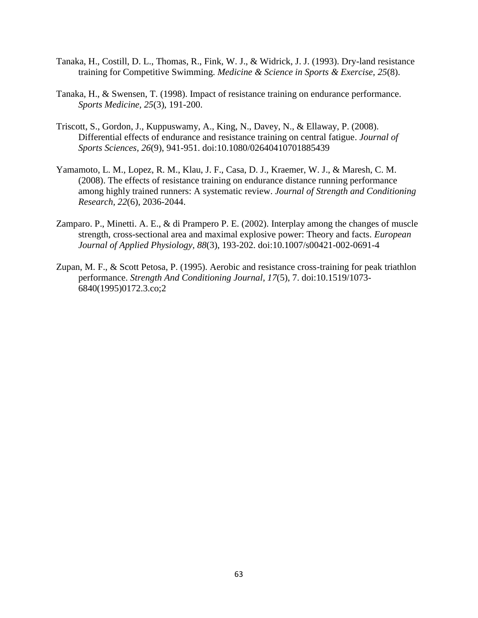- Tanaka, H., Costill, D. L., Thomas, R., Fink, W. J., & Widrick, J. J. (1993). Dry-land resistance training for Competitive Swimming. *Medicine & Science in Sports & Exercise, 25*(8).
- Tanaka, H., & Swensen, T. (1998). Impact of resistance training on endurance performance. *Sports Medicine, 25*(3), 191-200.
- Triscott, S., Gordon, J., Kuppuswamy, A., King, N., Davey, N., & Ellaway, P. (2008). Differential effects of endurance and resistance training on central fatigue. *Journal of Sports Sciences, 26*(9), 941-951. doi:10.1080/02640410701885439
- Yamamoto, L. M., Lopez, R. M., Klau, J. F., Casa, D. J., Kraemer, W. J., & Maresh, C. M. (2008). The effects of resistance training on endurance distance running performance among highly trained runners: A systematic review. *Journal of Strength and Conditioning Research, 22*(6), 2036-2044.
- Zamparo. P., Minetti. A. E., & di Prampero P. E. (2002). Interplay among the changes of muscle strength, cross-sectional area and maximal explosive power: Theory and facts. *European Journal of Applied Physiology, 88*(3), 193-202. doi:10.1007/s00421-002-0691-4
- Zupan, M. F., & Scott Petosa, P. (1995). Aerobic and resistance cross-training for peak triathlon performance. *Strength And Conditioning Journal, 17*(5), 7. doi:10.1519/1073- 6840(1995)0172.3.co;2